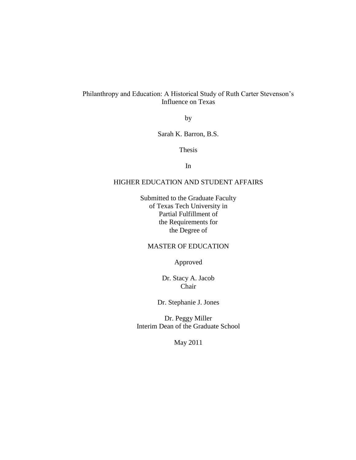## Philanthropy and Education: A Historical Study of Ruth Carter Stevenson"s Influence on Texas

by

Sarah K. Barron, B.S.

Thesis

In

## HIGHER EDUCATION AND STUDENT AFFAIRS

Submitted to the Graduate Faculty of Texas Tech University in Partial Fulfillment of the Requirements for the Degree of

## MASTER OF EDUCATION

Approved

Dr. Stacy A. Jacob Chair

Dr. Stephanie J. Jones

Dr. Peggy Miller Interim Dean of the Graduate School

May 2011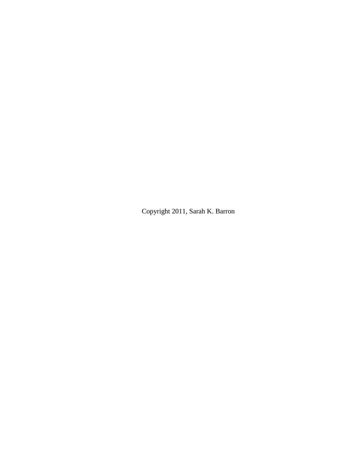Copyright 2011, Sarah K. Barron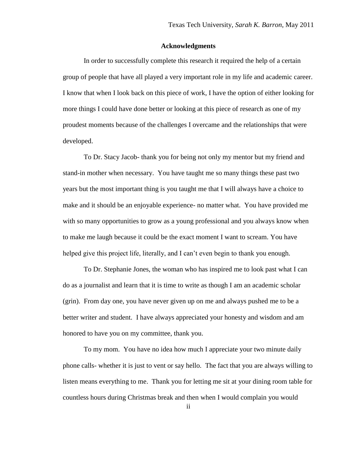## **Acknowledgments**

In order to successfully complete this research it required the help of a certain group of people that have all played a very important role in my life and academic career. I know that when I look back on this piece of work, I have the option of either looking for more things I could have done better or looking at this piece of research as one of my proudest moments because of the challenges I overcame and the relationships that were developed.

To Dr. Stacy Jacob- thank you for being not only my mentor but my friend and stand-in mother when necessary. You have taught me so many things these past two years but the most important thing is you taught me that I will always have a choice to make and it should be an enjoyable experience- no matter what. You have provided me with so many opportunities to grow as a young professional and you always know when to make me laugh because it could be the exact moment I want to scream. You have helped give this project life, literally, and I can't even begin to thank you enough.

To Dr. Stephanie Jones, the woman who has inspired me to look past what I can do as a journalist and learn that it is time to write as though I am an academic scholar (grin). From day one, you have never given up on me and always pushed me to be a better writer and student. I have always appreciated your honesty and wisdom and am honored to have you on my committee, thank you.

To my mom. You have no idea how much I appreciate your two minute daily phone calls- whether it is just to vent or say hello. The fact that you are always willing to listen means everything to me. Thank you for letting me sit at your dining room table for countless hours during Christmas break and then when I would complain you would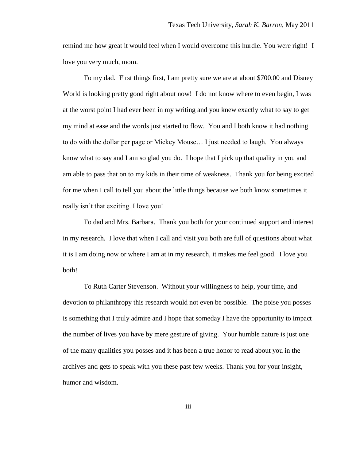remind me how great it would feel when I would overcome this hurdle. You were right! I love you very much, mom.

To my dad. First things first, I am pretty sure we are at about \$700.00 and Disney World is looking pretty good right about now! I do not know where to even begin, I was at the worst point I had ever been in my writing and you knew exactly what to say to get my mind at ease and the words just started to flow. You and I both know it had nothing to do with the dollar per page or Mickey Mouse… I just needed to laugh. You always know what to say and I am so glad you do. I hope that I pick up that quality in you and am able to pass that on to my kids in their time of weakness. Thank you for being excited for me when I call to tell you about the little things because we both know sometimes it really isn"t that exciting. I love you!

To dad and Mrs. Barbara. Thank you both for your continued support and interest in my research. I love that when I call and visit you both are full of questions about what it is I am doing now or where I am at in my research, it makes me feel good. I love you both!

To Ruth Carter Stevenson. Without your willingness to help, your time, and devotion to philanthropy this research would not even be possible. The poise you posses is something that I truly admire and I hope that someday I have the opportunity to impact the number of lives you have by mere gesture of giving. Your humble nature is just one of the many qualities you posses and it has been a true honor to read about you in the archives and gets to speak with you these past few weeks. Thank you for your insight, humor and wisdom.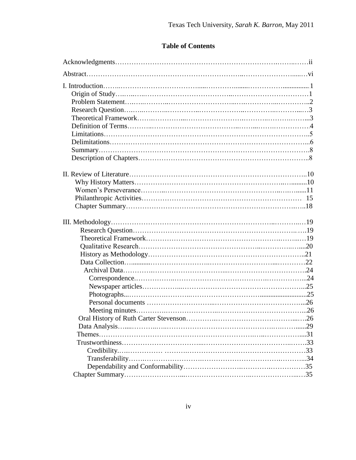# **Table of Contents**

| Oral History of Ruth Carter Stevenson |  |
|---------------------------------------|--|
|                                       |  |
|                                       |  |
|                                       |  |
|                                       |  |
|                                       |  |
|                                       |  |
|                                       |  |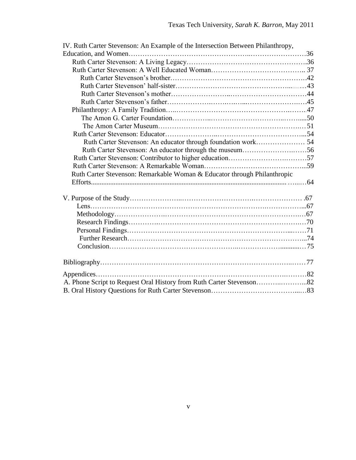| IV. Ruth Carter Stevenson: An Example of the Intersection Between Philanthropy, |  |
|---------------------------------------------------------------------------------|--|
|                                                                                 |  |
|                                                                                 |  |
|                                                                                 |  |
|                                                                                 |  |
|                                                                                 |  |
|                                                                                 |  |
|                                                                                 |  |
|                                                                                 |  |
|                                                                                 |  |
|                                                                                 |  |
|                                                                                 |  |
|                                                                                 |  |
| Ruth Carter Stevenson: An educator through the museum56                         |  |
|                                                                                 |  |
|                                                                                 |  |
| Ruth Carter Stevenson: Remarkable Woman & Educator through Philanthropic        |  |
|                                                                                 |  |
|                                                                                 |  |
|                                                                                 |  |
|                                                                                 |  |
|                                                                                 |  |
|                                                                                 |  |
|                                                                                 |  |
|                                                                                 |  |
|                                                                                 |  |
|                                                                                 |  |
|                                                                                 |  |
|                                                                                 |  |
|                                                                                 |  |
| A. Phone Script to Request Oral History from Ruth Carter Stevenson82            |  |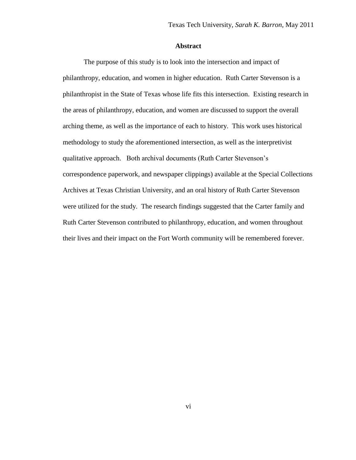## **Abstract**

The purpose of this study is to look into the intersection and impact of philanthropy, education, and women in higher education. Ruth Carter Stevenson is a philanthropist in the State of Texas whose life fits this intersection. Existing research in the areas of philanthropy, education, and women are discussed to support the overall arching theme, as well as the importance of each to history. This work uses historical methodology to study the aforementioned intersection, as well as the interpretivist qualitative approach. Both archival documents (Ruth Carter Stevenson"s correspondence paperwork, and newspaper clippings) available at the Special Collections Archives at Texas Christian University, and an oral history of Ruth Carter Stevenson were utilized for the study. The research findings suggested that the Carter family and Ruth Carter Stevenson contributed to philanthropy, education, and women throughout their lives and their impact on the Fort Worth community will be remembered forever.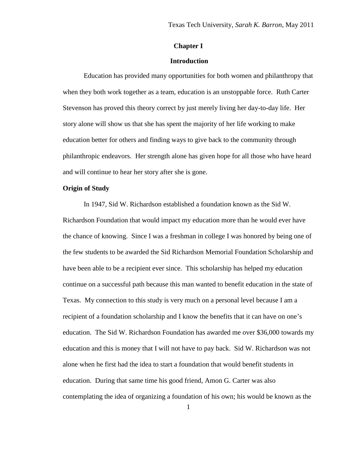## **Chapter I**

#### **Introduction**

Education has provided many opportunities for both women and philanthropy that when they both work together as a team, education is an unstoppable force. Ruth Carter Stevenson has proved this theory correct by just merely living her day-to-day life. Her story alone will show us that she has spent the majority of her life working to make education better for others and finding ways to give back to the community through philanthropic endeavors. Her strength alone has given hope for all those who have heard and will continue to hear her story after she is gone.

## **Origin of Study**

In 1947, Sid W. Richardson established a foundation known as the Sid W. Richardson Foundation that would impact my education more than he would ever have the chance of knowing. Since I was a freshman in college I was honored by being one of the few students to be awarded the Sid Richardson Memorial Foundation Scholarship and have been able to be a recipient ever since. This scholarship has helped my education continue on a successful path because this man wanted to benefit education in the state of Texas. My connection to this study is very much on a personal level because I am a recipient of a foundation scholarship and I know the benefits that it can have on one's education. The Sid W. Richardson Foundation has awarded me over \$36,000 towards my education and this is money that I will not have to pay back. Sid W. Richardson was not alone when he first had the idea to start a foundation that would benefit students in education. During that same time his good friend, Amon G. Carter was also contemplating the idea of organizing a foundation of his own; his would be known as the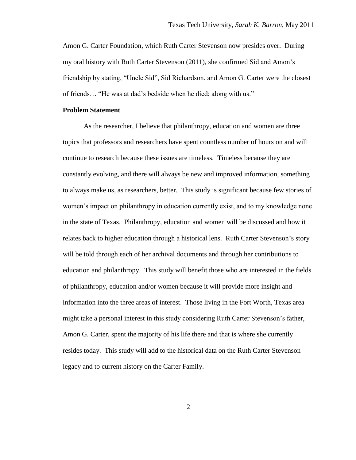Amon G. Carter Foundation, which Ruth Carter Stevenson now presides over. During my oral history with Ruth Carter Stevenson (2011), she confirmed Sid and Amon"s friendship by stating, "Uncle Sid", Sid Richardson, and Amon G. Carter were the closest of friends… "He was at dad"s bedside when he died; along with us."

#### **Problem Statement**

As the researcher, I believe that philanthropy, education and women are three topics that professors and researchers have spent countless number of hours on and will continue to research because these issues are timeless. Timeless because they are constantly evolving, and there will always be new and improved information, something to always make us, as researchers, better. This study is significant because few stories of women's impact on philanthropy in education currently exist, and to my knowledge none in the state of Texas. Philanthropy, education and women will be discussed and how it relates back to higher education through a historical lens. Ruth Carter Stevenson"s story will be told through each of her archival documents and through her contributions to education and philanthropy. This study will benefit those who are interested in the fields of philanthropy, education and/or women because it will provide more insight and information into the three areas of interest. Those living in the Fort Worth, Texas area might take a personal interest in this study considering Ruth Carter Stevenson"s father, Amon G. Carter, spent the majority of his life there and that is where she currently resides today. This study will add to the historical data on the Ruth Carter Stevenson legacy and to current history on the Carter Family.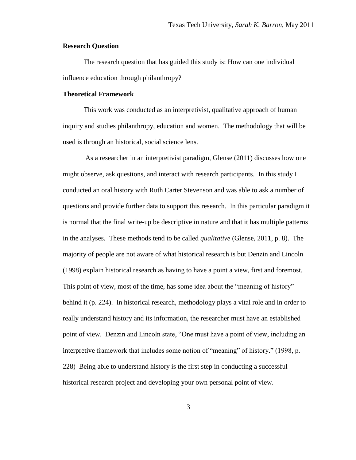#### **Research Question**

The research question that has guided this study is: How can one individual influence education through philanthropy?

#### **Theoretical Framework**

This work was conducted as an interpretivist, qualitative approach of human inquiry and studies philanthropy, education and women. The methodology that will be used is through an historical, social science lens.

As a researcher in an interpretivist paradigm, Glense (2011) discusses how one might observe, ask questions, and interact with research participants. In this study I conducted an oral history with Ruth Carter Stevenson and was able to ask a number of questions and provide further data to support this research. In this particular paradigm it is normal that the final write-up be descriptive in nature and that it has multiple patterns in the analyses. These methods tend to be called *qualitative* (Glense, 2011, p. 8). The majority of people are not aware of what historical research is but Denzin and Lincoln (1998) explain historical research as having to have a point a view, first and foremost. This point of view, most of the time, has some idea about the "meaning of history" behind it (p. 224). In historical research, methodology plays a vital role and in order to really understand history and its information, the researcher must have an established point of view. Denzin and Lincoln state, "One must have a point of view, including an interpretive framework that includes some notion of "meaning" of history." (1998, p. 228) Being able to understand history is the first step in conducting a successful historical research project and developing your own personal point of view.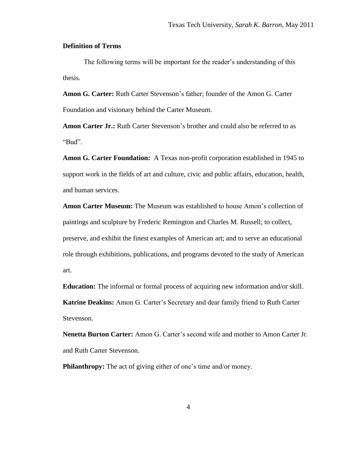## **Definition of Terms**

The following terms will be important for the reader's understanding of this thesis.

**Amon G. Carter:** Ruth Carter Stevenson"s father; founder of the Amon G. Carter Foundation and visionary behind the Carter Museum.

**Amon Carter Jr.:** Ruth Carter Stevenson's brother and could also be referred to as "Bud".

**Amon G. Carter Foundation:** A Texas non-profit corporation established in 1945 to support work in the fields of art and culture, civic and public affairs, education, health, and human services.

**Amon Carter Museum:** The Museum was established to house Amon"s collection of paintings and sculpture by Frederic Remington and Charles M. Russell; to collect, preserve, and exhibit the finest examples of American art; and to serve an educational role through exhibitions, publications, and programs devoted to the study of American art.

**Education:** The informal or formal process of acquiring new information and/or skill. **Katrine Deakins:** Amon G. Carter"s Secretary and dear family friend to Ruth Carter Stevenson.

**Nenetta Burton Carter:** Amon G. Carter"s second wife and mother to Amon Carter Jr. and Ruth Carter Stevenson.

**Philanthropy:** The act of giving either of one's time and/or money.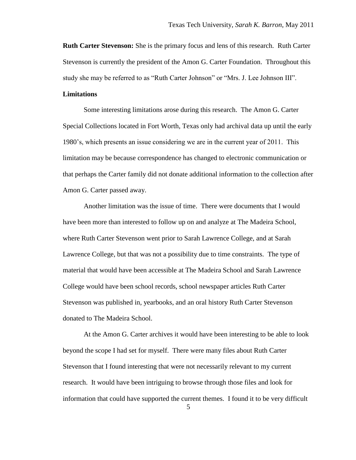**Ruth Carter Stevenson:** She is the primary focus and lens of this research. Ruth Carter Stevenson is currently the president of the Amon G. Carter Foundation. Throughout this study she may be referred to as "Ruth Carter Johnson" or "Mrs. J. Lee Johnson III".

## **Limitations**

Some interesting limitations arose during this research. The Amon G. Carter Special Collections located in Fort Worth, Texas only had archival data up until the early 1980"s, which presents an issue considering we are in the current year of 2011. This limitation may be because correspondence has changed to electronic communication or that perhaps the Carter family did not donate additional information to the collection after Amon G. Carter passed away.

Another limitation was the issue of time. There were documents that I would have been more than interested to follow up on and analyze at The Madeira School, where Ruth Carter Stevenson went prior to Sarah Lawrence College, and at Sarah Lawrence College, but that was not a possibility due to time constraints. The type of material that would have been accessible at The Madeira School and Sarah Lawrence College would have been school records, school newspaper articles Ruth Carter Stevenson was published in, yearbooks, and an oral history Ruth Carter Stevenson donated to The Madeira School.

At the Amon G. Carter archives it would have been interesting to be able to look beyond the scope I had set for myself. There were many files about Ruth Carter Stevenson that I found interesting that were not necessarily relevant to my current research. It would have been intriguing to browse through those files and look for information that could have supported the current themes. I found it to be very difficult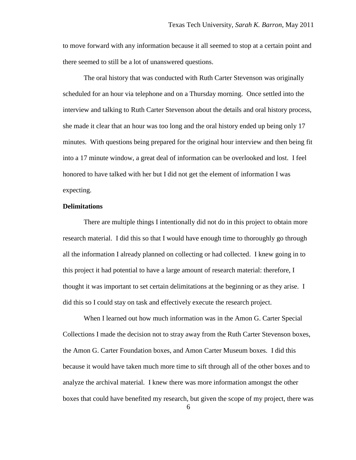to move forward with any information because it all seemed to stop at a certain point and there seemed to still be a lot of unanswered questions.

The oral history that was conducted with Ruth Carter Stevenson was originally scheduled for an hour via telephone and on a Thursday morning. Once settled into the interview and talking to Ruth Carter Stevenson about the details and oral history process, she made it clear that an hour was too long and the oral history ended up being only 17 minutes. With questions being prepared for the original hour interview and then being fit into a 17 minute window, a great deal of information can be overlooked and lost. I feel honored to have talked with her but I did not get the element of information I was expecting.

#### **Delimitations**

There are multiple things I intentionally did not do in this project to obtain more research material. I did this so that I would have enough time to thoroughly go through all the information I already planned on collecting or had collected. I knew going in to this project it had potential to have a large amount of research material: therefore, I thought it was important to set certain delimitations at the beginning or as they arise. I did this so I could stay on task and effectively execute the research project.

When I learned out how much information was in the Amon G. Carter Special Collections I made the decision not to stray away from the Ruth Carter Stevenson boxes, the Amon G. Carter Foundation boxes, and Amon Carter Museum boxes. I did this because it would have taken much more time to sift through all of the other boxes and to analyze the archival material. I knew there was more information amongst the other boxes that could have benefited my research, but given the scope of my project, there was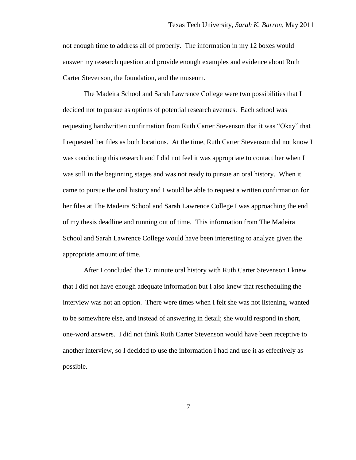not enough time to address all of properly. The information in my 12 boxes would answer my research question and provide enough examples and evidence about Ruth Carter Stevenson, the foundation, and the museum.

The Madeira School and Sarah Lawrence College were two possibilities that I decided not to pursue as options of potential research avenues. Each school was requesting handwritten confirmation from Ruth Carter Stevenson that it was "Okay" that I requested her files as both locations. At the time, Ruth Carter Stevenson did not know I was conducting this research and I did not feel it was appropriate to contact her when I was still in the beginning stages and was not ready to pursue an oral history. When it came to pursue the oral history and I would be able to request a written confirmation for her files at The Madeira School and Sarah Lawrence College I was approaching the end of my thesis deadline and running out of time. This information from The Madeira School and Sarah Lawrence College would have been interesting to analyze given the appropriate amount of time.

After I concluded the 17 minute oral history with Ruth Carter Stevenson I knew that I did not have enough adequate information but I also knew that rescheduling the interview was not an option. There were times when I felt she was not listening, wanted to be somewhere else, and instead of answering in detail; she would respond in short, one-word answers. I did not think Ruth Carter Stevenson would have been receptive to another interview, so I decided to use the information I had and use it as effectively as possible.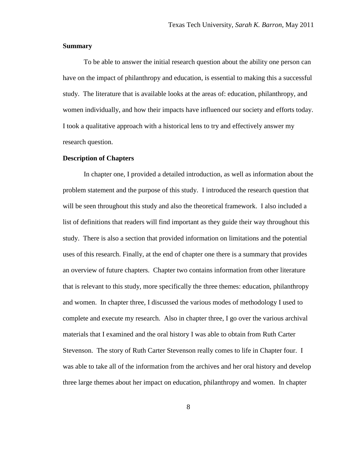#### **Summary**

To be able to answer the initial research question about the ability one person can have on the impact of philanthropy and education, is essential to making this a successful study. The literature that is available looks at the areas of: education, philanthropy, and women individually, and how their impacts have influenced our society and efforts today. I took a qualitative approach with a historical lens to try and effectively answer my research question.

#### **Description of Chapters**

In chapter one, I provided a detailed introduction, as well as information about the problem statement and the purpose of this study. I introduced the research question that will be seen throughout this study and also the theoretical framework. I also included a list of definitions that readers will find important as they guide their way throughout this study. There is also a section that provided information on limitations and the potential uses of this research. Finally, at the end of chapter one there is a summary that provides an overview of future chapters. Chapter two contains information from other literature that is relevant to this study, more specifically the three themes: education, philanthropy and women. In chapter three, I discussed the various modes of methodology I used to complete and execute my research. Also in chapter three, I go over the various archival materials that I examined and the oral history I was able to obtain from Ruth Carter Stevenson. The story of Ruth Carter Stevenson really comes to life in Chapter four. I was able to take all of the information from the archives and her oral history and develop three large themes about her impact on education, philanthropy and women. In chapter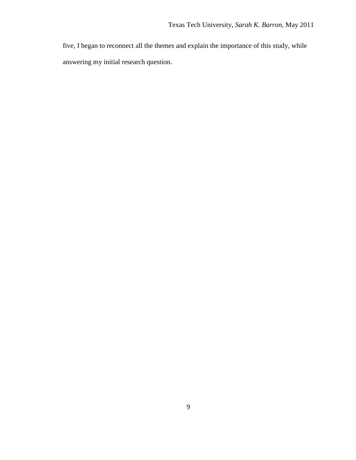five, I began to reconnect all the themes and explain the importance of this study, while answering my initial research question.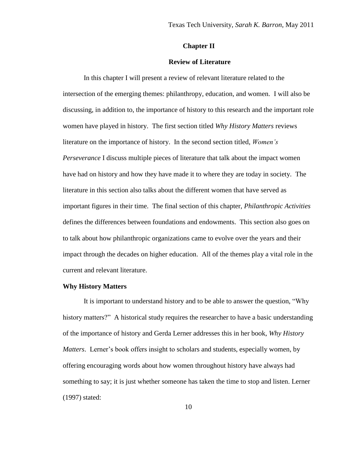#### **Chapter II**

#### **Review of Literature**

In this chapter I will present a review of relevant literature related to the intersection of the emerging themes: philanthropy, education, and women. I will also be discussing, in addition to, the importance of history to this research and the important role women have played in history. The first section titled *Why History Matters* reviews literature on the importance of history. In the second section titled, *Women's Perseverance* I discuss multiple pieces of literature that talk about the impact women have had on history and how they have made it to where they are today in society. The literature in this section also talks about the different women that have served as important figures in their time. The final section of this chapter, *Philanthropic Activities* defines the differences between foundations and endowments. This section also goes on to talk about how philanthropic organizations came to evolve over the years and their impact through the decades on higher education. All of the themes play a vital role in the current and relevant literature.

#### **Why History Matters**

It is important to understand history and to be able to answer the question, "Why history matters?" A historical study requires the researcher to have a basic understanding of the importance of history and Gerda Lerner addresses this in her book, *Why History Matters*. Lerner's book offers insight to scholars and students, especially women, by offering encouraging words about how women throughout history have always had something to say; it is just whether someone has taken the time to stop and listen. Lerner (1997) stated: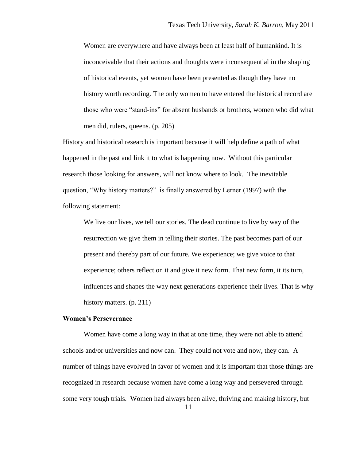Women are everywhere and have always been at least half of humankind. It is inconceivable that their actions and thoughts were inconsequential in the shaping of historical events, yet women have been presented as though they have no history worth recording. The only women to have entered the historical record are those who were "stand-ins" for absent husbands or brothers, women who did what men did, rulers, queens. (p. 205)

History and historical research is important because it will help define a path of what happened in the past and link it to what is happening now. Without this particular research those looking for answers, will not know where to look. The inevitable question, "Why history matters?" is finally answered by Lerner (1997) with the following statement:

We live our lives, we tell our stories. The dead continue to live by way of the resurrection we give them in telling their stories. The past becomes part of our present and thereby part of our future. We experience; we give voice to that experience; others reflect on it and give it new form. That new form, it its turn, influences and shapes the way next generations experience their lives. That is why history matters. (p. 211)

#### **Women's Perseverance**

Women have come a long way in that at one time, they were not able to attend schools and/or universities and now can. They could not vote and now, they can. A number of things have evolved in favor of women and it is important that those things are recognized in research because women have come a long way and persevered through some very tough trials. Women had always been alive, thriving and making history, but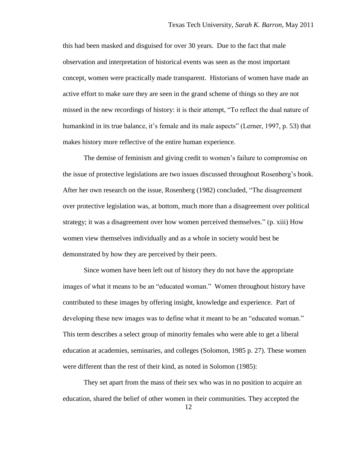this had been masked and disguised for over 30 years. Due to the fact that male observation and interpretation of historical events was seen as the most important concept, women were practically made transparent. Historians of women have made an active effort to make sure they are seen in the grand scheme of things so they are not missed in the new recordings of history: it is their attempt, "To reflect the dual nature of humankind in its true balance, it's female and its male aspects" (Lerner, 1997, p. 53) that makes history more reflective of the entire human experience.

The demise of feminism and giving credit to women"s failure to compromise on the issue of protective legislations are two issues discussed throughout Rosenberg"s book. After her own research on the issue, Rosenberg (1982) concluded, "The disagreement over protective legislation was, at bottom, much more than a disagreement over political strategy; it was a disagreement over how women perceived themselves." (p. xiii) How women view themselves individually and as a whole in society would best be demonstrated by how they are perceived by their peers.

Since women have been left out of history they do not have the appropriate images of what it means to be an "educated woman." Women throughout history have contributed to these images by offering insight, knowledge and experience. Part of developing these new images was to define what it meant to be an "educated woman." This term describes a select group of minority females who were able to get a liberal education at academies, seminaries, and colleges (Solomon, 1985 p. 27). These women were different than the rest of their kind, as noted in Solomon (1985):

They set apart from the mass of their sex who was in no position to acquire an education, shared the belief of other women in their communities. They accepted the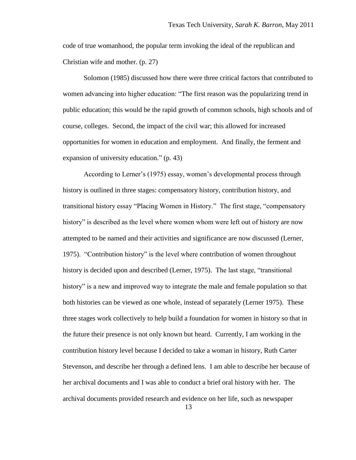code of true womanhood, the popular term invoking the ideal of the republican and Christian wife and mother. (p. 27)

Solomon (1985) discussed how there were three critical factors that contributed to women advancing into higher education: "The first reason was the popularizing trend in public education; this would be the rapid growth of common schools, high schools and of course, colleges. Second, the impact of the civil war; this allowed for increased opportunities for women in education and employment. And finally, the ferment and expansion of university education." (p. 43)

According to Lerner"s (1975) essay, women"s developmental process through history is outlined in three stages: compensatory history, contribution history, and transitional history essay "Placing Women in History." The first stage, "compensatory history" is described as the level where women whom were left out of history are now attempted to be named and their activities and significance are now discussed (Lerner, 1975). "Contribution history" is the level where contribution of women throughout history is decided upon and described (Lerner, 1975). The last stage, "transitional history" is a new and improved way to integrate the male and female population so that both histories can be viewed as one whole, instead of separately (Lerner 1975). These three stages work collectively to help build a foundation for women in history so that in the future their presence is not only known but heard. Currently, I am working in the contribution history level because I decided to take a woman in history, Ruth Carter Stevenson, and describe her through a defined lens. I am able to describe her because of her archival documents and I was able to conduct a brief oral history with her. The archival documents provided research and evidence on her life, such as newspaper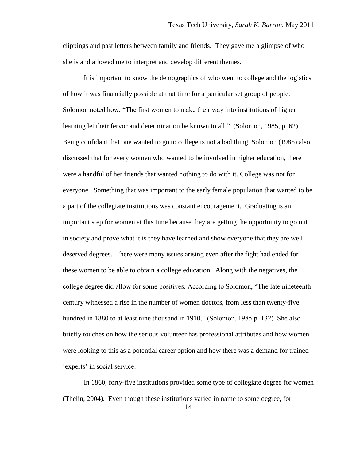clippings and past letters between family and friends. They gave me a glimpse of who she is and allowed me to interpret and develop different themes.

It is important to know the demographics of who went to college and the logistics of how it was financially possible at that time for a particular set group of people. Solomon noted how, "The first women to make their way into institutions of higher learning let their fervor and determination be known to all." (Solomon, 1985, p. 62) Being confidant that one wanted to go to college is not a bad thing. Solomon (1985) also discussed that for every women who wanted to be involved in higher education, there were a handful of her friends that wanted nothing to do with it. College was not for everyone. Something that was important to the early female population that wanted to be a part of the collegiate institutions was constant encouragement. Graduating is an important step for women at this time because they are getting the opportunity to go out in society and prove what it is they have learned and show everyone that they are well deserved degrees. There were many issues arising even after the fight had ended for these women to be able to obtain a college education. Along with the negatives, the college degree did allow for some positives. According to Solomon, "The late nineteenth century witnessed a rise in the number of women doctors, from less than twenty-five hundred in 1880 to at least nine thousand in 1910." (Solomon, 1985 p. 132) She also briefly touches on how the serious volunteer has professional attributes and how women were looking to this as a potential career option and how there was a demand for trained 'experts' in social service.

In 1860, forty-five institutions provided some type of collegiate degree for women (Thelin, 2004). Even though these institutions varied in name to some degree, for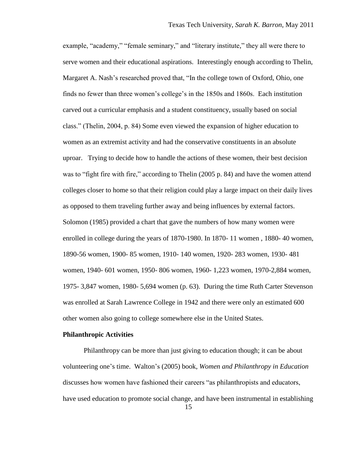example, "academy," "female seminary," and "literary institute," they all were there to serve women and their educational aspirations. Interestingly enough according to Thelin, Margaret A. Nash"s researched proved that, "In the college town of Oxford, Ohio, one finds no fewer than three women"s college"s in the 1850s and 1860s. Each institution carved out a curricular emphasis and a student constituency, usually based on social class." (Thelin, 2004, p. 84) Some even viewed the expansion of higher education to women as an extremist activity and had the conservative constituents in an absolute uproar. Trying to decide how to handle the actions of these women, their best decision was to "fight fire with fire," according to Thelin (2005 p. 84) and have the women attend colleges closer to home so that their religion could play a large impact on their daily lives as opposed to them traveling further away and being influences by external factors. Solomon (1985) provided a chart that gave the numbers of how many women were enrolled in college during the years of 1870-1980. In 1870- 11 women , 1880- 40 women, 1890-56 women, 1900- 85 women, 1910- 140 women, 1920- 283 women, 1930- 481 women, 1940- 601 women, 1950- 806 women, 1960- 1,223 women, 1970-2,884 women, 1975- 3,847 women, 1980- 5,694 women (p. 63). During the time Ruth Carter Stevenson was enrolled at Sarah Lawrence College in 1942 and there were only an estimated 600 other women also going to college somewhere else in the United States.

#### **Philanthropic Activities**

Philanthropy can be more than just giving to education though; it can be about volunteering one"s time. Walton"s (2005) book, *Women and Philanthropy in Education* discusses how women have fashioned their careers "as philanthropists and educators, have used education to promote social change, and have been instrumental in establishing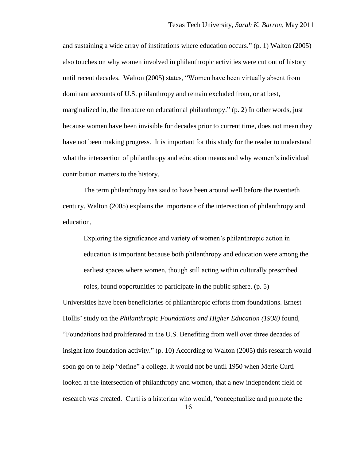and sustaining a wide array of institutions where education occurs." (p. 1) Walton (2005) also touches on why women involved in philanthropic activities were cut out of history until recent decades. Walton (2005) states, "Women have been virtually absent from dominant accounts of U.S. philanthropy and remain excluded from, or at best, marginalized in, the literature on educational philanthropy." (p. 2) In other words, just because women have been invisible for decades prior to current time, does not mean they have not been making progress. It is important for this study for the reader to understand what the intersection of philanthropy and education means and why women"s individual contribution matters to the history.

The term philanthropy has said to have been around well before the twentieth century. Walton (2005) explains the importance of the intersection of philanthropy and education,

Exploring the significance and variety of women"s philanthropic action in education is important because both philanthropy and education were among the earliest spaces where women, though still acting within culturally prescribed roles, found opportunities to participate in the public sphere. (p. 5)

Universities have been beneficiaries of philanthropic efforts from foundations. Ernest Hollis" study on the *Philanthropic Foundations and Higher Education (1938)* found, "Foundations had proliferated in the U.S. Benefiting from well over three decades of insight into foundation activity." (p. 10) According to Walton (2005) this research would soon go on to help "define" a college. It would not be until 1950 when Merle Curti looked at the intersection of philanthropy and women, that a new independent field of research was created. Curti is a historian who would, "conceptualize and promote the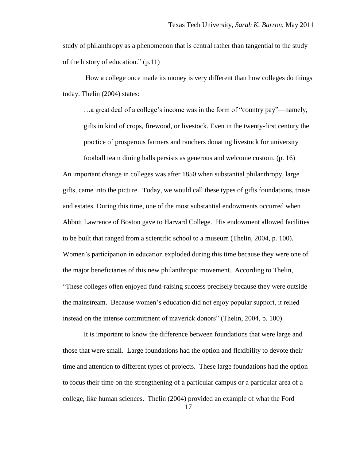study of philanthropy as a phenomenon that is central rather than tangential to the study of the history of education." (p.11)

How a college once made its money is very different than how colleges do things today. Thelin (2004) states:

...a great deal of a college's income was in the form of "country pay"—namely, gifts in kind of crops, firewood, or livestock. Even in the twenty-first century the practice of prosperous farmers and ranchers donating livestock for university

football team dining halls persists as generous and welcome custom. (p. 16) An important change in colleges was after 1850 when substantial philanthropy, large gifts, came into the picture. Today, we would call these types of gifts foundations, trusts and estates. During this time, one of the most substantial endowments occurred when Abbott Lawrence of Boston gave to Harvard College. His endowment allowed facilities to be built that ranged from a scientific school to a museum (Thelin, 2004, p. 100). Women"s participation in education exploded during this time because they were one of the major beneficiaries of this new philanthropic movement. According to Thelin, "These colleges often enjoyed fund-raising success precisely because they were outside the mainstream. Because women"s education did not enjoy popular support, it relied instead on the intense commitment of maverick donors" (Thelin, 2004, p. 100)

It is important to know the difference between foundations that were large and those that were small. Large foundations had the option and flexibility to devote their time and attention to different types of projects. These large foundations had the option to focus their time on the strengthening of a particular campus or a particular area of a college, like human sciences. Thelin (2004) provided an example of what the Ford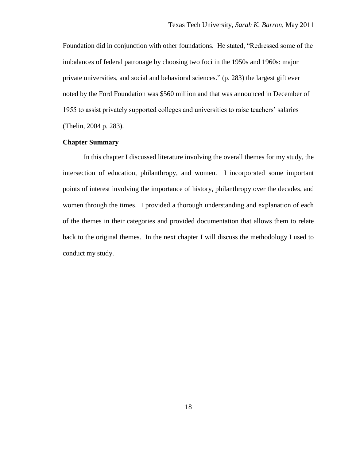Foundation did in conjunction with other foundations. He stated, "Redressed some of the imbalances of federal patronage by choosing two foci in the 1950s and 1960s: major private universities, and social and behavioral sciences." (p. 283) the largest gift ever noted by the Ford Foundation was \$560 million and that was announced in December of 1955 to assist privately supported colleges and universities to raise teachers" salaries (Thelin, 2004 p. 283).

## **Chapter Summary**

In this chapter I discussed literature involving the overall themes for my study, the intersection of education, philanthropy, and women. I incorporated some important points of interest involving the importance of history, philanthropy over the decades, and women through the times. I provided a thorough understanding and explanation of each of the themes in their categories and provided documentation that allows them to relate back to the original themes. In the next chapter I will discuss the methodology I used to conduct my study.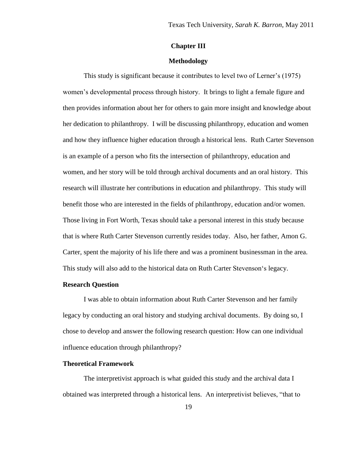## **Chapter III**

## **Methodology**

This study is significant because it contributes to level two of Lerner"s (1975) women"s developmental process through history. It brings to light a female figure and then provides information about her for others to gain more insight and knowledge about her dedication to philanthropy. I will be discussing philanthropy, education and women and how they influence higher education through a historical lens. Ruth Carter Stevenson is an example of a person who fits the intersection of philanthropy, education and women, and her story will be told through archival documents and an oral history. This research will illustrate her contributions in education and philanthropy. This study will benefit those who are interested in the fields of philanthropy, education and/or women. Those living in Fort Worth, Texas should take a personal interest in this study because that is where Ruth Carter Stevenson currently resides today. Also, her father, Amon G. Carter, spent the majority of his life there and was a prominent businessman in the area. This study will also add to the historical data on Ruth Carter Stevenson"s legacy.

#### **Research Question**

I was able to obtain information about Ruth Carter Stevenson and her family legacy by conducting an oral history and studying archival documents. By doing so, I chose to develop and answer the following research question: How can one individual influence education through philanthropy?

#### **Theoretical Framework**

The interpretivist approach is what guided this study and the archival data I obtained was interpreted through a historical lens. An interpretivist believes, "that to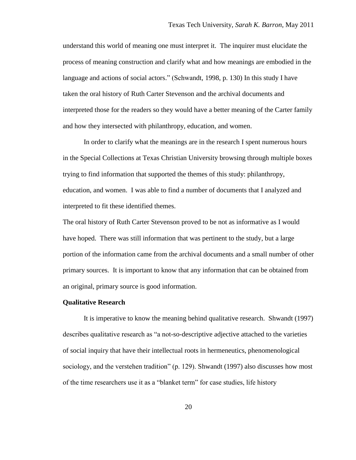understand this world of meaning one must interpret it. The inquirer must elucidate the process of meaning construction and clarify what and how meanings are embodied in the language and actions of social actors." (Schwandt, 1998, p. 130) In this study I have taken the oral history of Ruth Carter Stevenson and the archival documents and interpreted those for the readers so they would have a better meaning of the Carter family and how they intersected with philanthropy, education, and women.

In order to clarify what the meanings are in the research I spent numerous hours in the Special Collections at Texas Christian University browsing through multiple boxes trying to find information that supported the themes of this study: philanthropy, education, and women. I was able to find a number of documents that I analyzed and interpreted to fit these identified themes.

The oral history of Ruth Carter Stevenson proved to be not as informative as I would have hoped. There was still information that was pertinent to the study, but a large portion of the information came from the archival documents and a small number of other primary sources. It is important to know that any information that can be obtained from an original, primary source is good information.

#### **Qualitative Research**

It is imperative to know the meaning behind qualitative research. Shwandt (1997) describes qualitative research as "a not-so-descriptive adjective attached to the varieties of social inquiry that have their intellectual roots in hermeneutics, phenomenological sociology, and the verstehen tradition" (p. 129). Shwandt (1997) also discusses how most of the time researchers use it as a "blanket term" for case studies, life history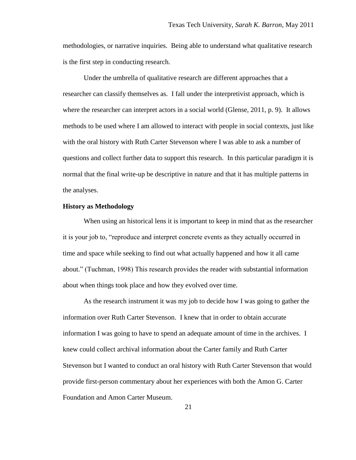methodologies, or narrative inquiries. Being able to understand what qualitative research is the first step in conducting research.

Under the umbrella of qualitative research are different approaches that a researcher can classify themselves as. I fall under the interpretivist approach, which is where the researcher can interpret actors in a social world (Glense, 2011, p. 9). It allows methods to be used where I am allowed to interact with people in social contexts, just like with the oral history with Ruth Carter Stevenson where I was able to ask a number of questions and collect further data to support this research. In this particular paradigm it is normal that the final write-up be descriptive in nature and that it has multiple patterns in the analyses.

#### **History as Methodology**

When using an historical lens it is important to keep in mind that as the researcher it is your job to, "reproduce and interpret concrete events as they actually occurred in time and space while seeking to find out what actually happened and how it all came about." (Tuchman, 1998) This research provides the reader with substantial information about when things took place and how they evolved over time.

As the research instrument it was my job to decide how I was going to gather the information over Ruth Carter Stevenson. I knew that in order to obtain accurate information I was going to have to spend an adequate amount of time in the archives. I knew could collect archival information about the Carter family and Ruth Carter Stevenson but I wanted to conduct an oral history with Ruth Carter Stevenson that would provide first-person commentary about her experiences with both the Amon G. Carter Foundation and Amon Carter Museum.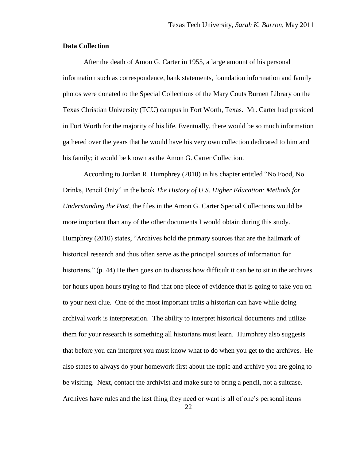#### **Data Collection**

After the death of Amon G. Carter in 1955, a large amount of his personal information such as correspondence, bank statements, foundation information and family photos were donated to the Special Collections of the Mary Couts Burnett Library on the Texas Christian University (TCU) campus in Fort Worth, Texas. Mr. Carter had presided in Fort Worth for the majority of his life. Eventually, there would be so much information gathered over the years that he would have his very own collection dedicated to him and his family; it would be known as the Amon G. Carter Collection.

According to Jordan R. Humphrey (2010) in his chapter entitled "No Food, No Drinks, Pencil Only" in the book *The History of U.S. Higher Education: Methods for Understanding the Past,* the files in the Amon G. Carter Special Collections would be more important than any of the other documents I would obtain during this study. Humphrey (2010) states, "Archives hold the primary sources that are the hallmark of historical research and thus often serve as the principal sources of information for historians." (p. 44) He then goes on to discuss how difficult it can be to sit in the archives for hours upon hours trying to find that one piece of evidence that is going to take you on to your next clue. One of the most important traits a historian can have while doing archival work is interpretation. The ability to interpret historical documents and utilize them for your research is something all historians must learn. Humphrey also suggests that before you can interpret you must know what to do when you get to the archives. He also states to always do your homework first about the topic and archive you are going to be visiting. Next, contact the archivist and make sure to bring a pencil, not a suitcase. Archives have rules and the last thing they need or want is all of one"s personal items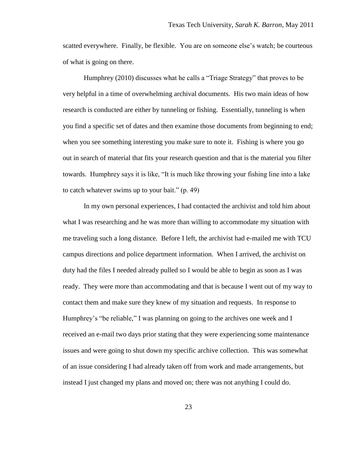scatted everywhere. Finally, be flexible. You are on someone else"s watch; be courteous of what is going on there.

Humphrey (2010) discusses what he calls a "Triage Strategy" that proves to be very helpful in a time of overwhelming archival documents. His two main ideas of how research is conducted are either by tunneling or fishing. Essentially, tunneling is when you find a specific set of dates and then examine those documents from beginning to end; when you see something interesting you make sure to note it. Fishing is where you go out in search of material that fits your research question and that is the material you filter towards. Humphrey says it is like, "It is much like throwing your fishing line into a lake to catch whatever swims up to your bait." (p. 49)

In my own personal experiences, I had contacted the archivist and told him about what I was researching and he was more than willing to accommodate my situation with me traveling such a long distance. Before I left, the archivist had e-mailed me with TCU campus directions and police department information. When I arrived, the archivist on duty had the files I needed already pulled so I would be able to begin as soon as I was ready. They were more than accommodating and that is because I went out of my way to contact them and make sure they knew of my situation and requests. In response to Humphrey's "be reliable," I was planning on going to the archives one week and I received an e-mail two days prior stating that they were experiencing some maintenance issues and were going to shut down my specific archive collection. This was somewhat of an issue considering I had already taken off from work and made arrangements, but instead I just changed my plans and moved on; there was not anything I could do.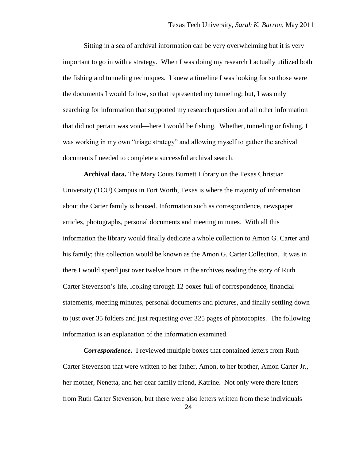Sitting in a sea of archival information can be very overwhelming but it is very important to go in with a strategy. When I was doing my research I actually utilized both the fishing and tunneling techniques. I knew a timeline I was looking for so those were the documents I would follow, so that represented my tunneling; but, I was only searching for information that supported my research question and all other information that did not pertain was void—here I would be fishing. Whether, tunneling or fishing, I was working in my own "triage strategy" and allowing myself to gather the archival documents I needed to complete a successful archival search.

**Archival data.** The Mary Couts Burnett Library on the Texas Christian University (TCU) Campus in Fort Worth, Texas is where the majority of information about the Carter family is housed. Information such as correspondence, newspaper articles, photographs, personal documents and meeting minutes. With all this information the library would finally dedicate a whole collection to Amon G. Carter and his family; this collection would be known as the Amon G. Carter Collection. It was in there I would spend just over twelve hours in the archives reading the story of Ruth Carter Stevenson"s life, looking through 12 boxes full of correspondence, financial statements, meeting minutes, personal documents and pictures, and finally settling down to just over 35 folders and just requesting over 325 pages of photocopies. The following information is an explanation of the information examined.

*Correspondence***.** I reviewed multiple boxes that contained letters from Ruth Carter Stevenson that were written to her father, Amon, to her brother, Amon Carter Jr., her mother, Nenetta, and her dear family friend, Katrine. Not only were there letters from Ruth Carter Stevenson, but there were also letters written from these individuals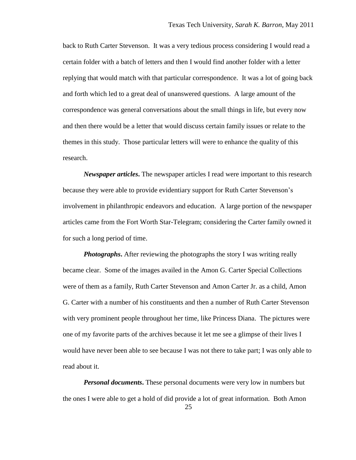back to Ruth Carter Stevenson. It was a very tedious process considering I would read a certain folder with a batch of letters and then I would find another folder with a letter replying that would match with that particular correspondence. It was a lot of going back and forth which led to a great deal of unanswered questions. A large amount of the correspondence was general conversations about the small things in life, but every now and then there would be a letter that would discuss certain family issues or relate to the themes in this study. Those particular letters will were to enhance the quality of this research.

*Newspaper articles***.** The newspaper articles I read were important to this research because they were able to provide evidentiary support for Ruth Carter Stevenson"s involvement in philanthropic endeavors and education. A large portion of the newspaper articles came from the Fort Worth Star-Telegram; considering the Carter family owned it for such a long period of time.

*Photographs*. After reviewing the photographs the story I was writing really became clear. Some of the images availed in the Amon G. Carter Special Collections were of them as a family, Ruth Carter Stevenson and Amon Carter Jr. as a child, Amon G. Carter with a number of his constituents and then a number of Ruth Carter Stevenson with very prominent people throughout her time, like Princess Diana. The pictures were one of my favorite parts of the archives because it let me see a glimpse of their lives I would have never been able to see because I was not there to take part; I was only able to read about it.

*Personal documents***.** These personal documents were very low in numbers but the ones I were able to get a hold of did provide a lot of great information. Both Amon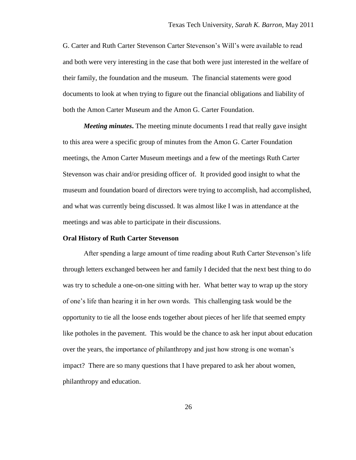G. Carter and Ruth Carter Stevenson Carter Stevenson"s Will"s were available to read and both were very interesting in the case that both were just interested in the welfare of their family, the foundation and the museum. The financial statements were good documents to look at when trying to figure out the financial obligations and liability of both the Amon Carter Museum and the Amon G. Carter Foundation.

*Meeting minutes***.** The meeting minute documents I read that really gave insight to this area were a specific group of minutes from the Amon G. Carter Foundation meetings, the Amon Carter Museum meetings and a few of the meetings Ruth Carter Stevenson was chair and/or presiding officer of. It provided good insight to what the museum and foundation board of directors were trying to accomplish, had accomplished, and what was currently being discussed. It was almost like I was in attendance at the meetings and was able to participate in their discussions.

#### **Oral History of Ruth Carter Stevenson**

After spending a large amount of time reading about Ruth Carter Stevenson"s life through letters exchanged between her and family I decided that the next best thing to do was try to schedule a one-on-one sitting with her. What better way to wrap up the story of one"s life than hearing it in her own words. This challenging task would be the opportunity to tie all the loose ends together about pieces of her life that seemed empty like potholes in the pavement. This would be the chance to ask her input about education over the years, the importance of philanthropy and just how strong is one woman"s impact? There are so many questions that I have prepared to ask her about women, philanthropy and education.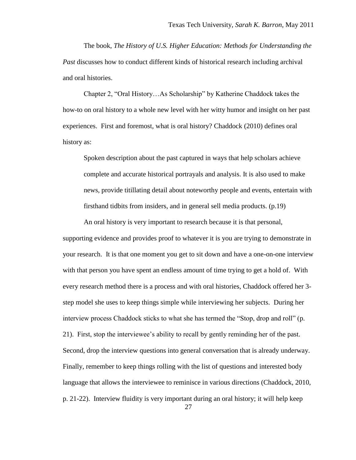The book, *The History of U.S. Higher Education: Methods for Understanding the Past* discusses how to conduct different kinds of historical research including archival and oral histories.

Chapter 2, "Oral History…As Scholarship" by Katherine Chaddock takes the how-to on oral history to a whole new level with her witty humor and insight on her past experiences. First and foremost, what is oral history? Chaddock (2010) defines oral history as:

Spoken description about the past captured in ways that help scholars achieve complete and accurate historical portrayals and analysis. It is also used to make news, provide titillating detail about noteworthy people and events, entertain with firsthand tidbits from insiders, and in general sell media products. (p.19)

An oral history is very important to research because it is that personal, supporting evidence and provides proof to whatever it is you are trying to demonstrate in your research. It is that one moment you get to sit down and have a one-on-one interview with that person you have spent an endless amount of time trying to get a hold of. With every research method there is a process and with oral histories, Chaddock offered her 3 step model she uses to keep things simple while interviewing her subjects. During her interview process Chaddock sticks to what she has termed the "Stop, drop and roll" (p. 21). First, stop the interviewee"s ability to recall by gently reminding her of the past. Second, drop the interview questions into general conversation that is already underway. Finally, remember to keep things rolling with the list of questions and interested body language that allows the interviewee to reminisce in various directions (Chaddock, 2010, p. 21-22). Interview fluidity is very important during an oral history; it will help keep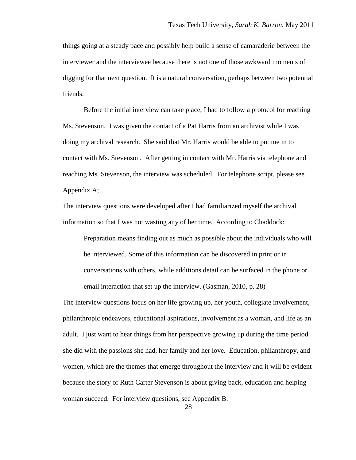things going at a steady pace and possibly help build a sense of camaraderie between the interviewer and the interviewee because there is not one of those awkward moments of digging for that next question. It is a natural conversation, perhaps between two potential friends.

Before the initial interview can take place, I had to follow a protocol for reaching Ms. Stevenson. I was given the contact of a Pat Harris from an archivist while I was doing my archival research. She said that Mr. Harris would be able to put me in to contact with Ms. Stevenson. After getting in contact with Mr. Harris via telephone and reaching Ms. Stevenson, the interview was scheduled. For telephone script, please see Appendix A;

The interview questions were developed after I had familiarized myself the archival information so that I was not wasting any of her time. According to Chaddock:

Preparation means finding out as much as possible about the individuals who will be interviewed. Some of this information can be discovered in print or in conversations with others, while additions detail can be surfaced in the phone or email interaction that set up the interview. (Gasman, 2010, p. 28)

The interview questions focus on her life growing up, her youth, collegiate involvement, philanthropic endeavors, educational aspirations, involvement as a woman, and life as an adult. I just want to hear things from her perspective growing up during the time period she did with the passions she had, her family and her love. Education, philanthropy, and women, which are the themes that emerge throughout the interview and it will be evident because the story of Ruth Carter Stevenson is about giving back, education and helping woman succeed. For interview questions, see Appendix B.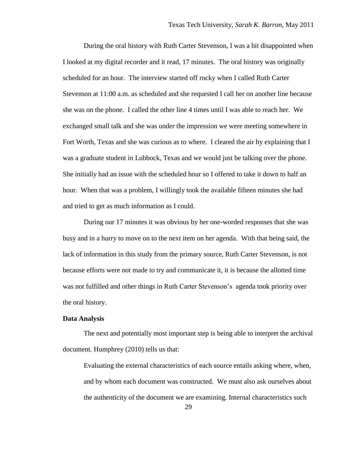During the oral history with Ruth Carter Stevenson, I was a bit disappointed when I looked at my digital recorder and it read, 17 minutes. The oral history was originally scheduled for an hour. The interview started off rocky when I called Ruth Carter Stevenson at 11:00 a.m. as scheduled and she requested I call her on another line because she was on the phone. I called the other line 4 times until I was able to reach her. We exchanged small talk and she was under the impression we were meeting somewhere in Fort Worth, Texas and she was curious as to where. I cleared the air by explaining that I was a graduate student in Lubbock, Texas and we would just be talking over the phone. She initially had an issue with the scheduled hour so I offered to take it down to half an hour. When that was a problem, I willingly took the available fifteen minutes she had and tried to get as much information as I could.

During our 17 minutes it was obvious by her one-worded responses that she was busy and in a hurry to move on to the next item on her agenda. With that being said, the lack of information in this study from the primary source, Ruth Carter Stevenson, is not because efforts were not made to try and communicate it, it is because the allotted time was not fulfilled and other things in Ruth Carter Stevenson"s agenda took priority over the oral history.

#### **Data Analysis**

The next and potentially most important step is being able to interpret the archival document. Humphrey (2010) tells us that:

Evaluating the external characteristics of each source entails asking where, when, and by whom each document was constructed. We must also ask ourselves about the authenticity of the document we are examining. Internal characteristics such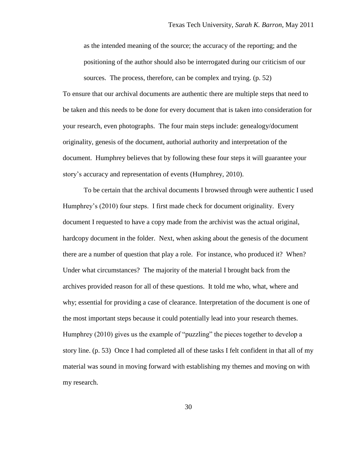as the intended meaning of the source; the accuracy of the reporting; and the positioning of the author should also be interrogated during our criticism of our sources. The process, therefore, can be complex and trying. (p. 52)

To ensure that our archival documents are authentic there are multiple steps that need to be taken and this needs to be done for every document that is taken into consideration for your research, even photographs. The four main steps include: genealogy/document originality, genesis of the document, authorial authority and interpretation of the document. Humphrey believes that by following these four steps it will guarantee your story"s accuracy and representation of events (Humphrey, 2010).

To be certain that the archival documents I browsed through were authentic I used Humphrey"s (2010) four steps. I first made check for document originality. Every document I requested to have a copy made from the archivist was the actual original, hardcopy document in the folder. Next, when asking about the genesis of the document there are a number of question that play a role. For instance, who produced it? When? Under what circumstances? The majority of the material I brought back from the archives provided reason for all of these questions. It told me who, what, where and why; essential for providing a case of clearance. Interpretation of the document is one of the most important steps because it could potentially lead into your research themes. Humphrey (2010) gives us the example of "puzzling" the pieces together to develop a story line. (p. 53) Once I had completed all of these tasks I felt confident in that all of my material was sound in moving forward with establishing my themes and moving on with my research.

30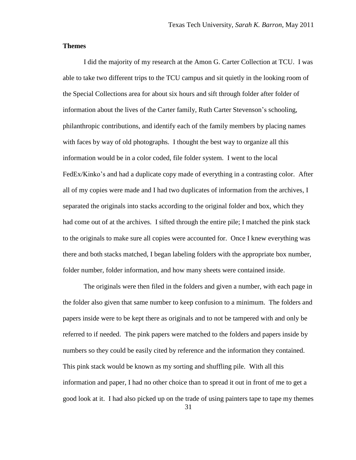# **Themes**

I did the majority of my research at the Amon G. Carter Collection at TCU. I was able to take two different trips to the TCU campus and sit quietly in the looking room of the Special Collections area for about six hours and sift through folder after folder of information about the lives of the Carter family, Ruth Carter Stevenson"s schooling, philanthropic contributions, and identify each of the family members by placing names with faces by way of old photographs. I thought the best way to organize all this information would be in a color coded, file folder system. I went to the local FedEx/Kinko's and had a duplicate copy made of everything in a contrasting color. After all of my copies were made and I had two duplicates of information from the archives, I separated the originals into stacks according to the original folder and box, which they had come out of at the archives. I sifted through the entire pile; I matched the pink stack to the originals to make sure all copies were accounted for. Once I knew everything was there and both stacks matched, I began labeling folders with the appropriate box number, folder number, folder information, and how many sheets were contained inside.

The originals were then filed in the folders and given a number, with each page in the folder also given that same number to keep confusion to a minimum. The folders and papers inside were to be kept there as originals and to not be tampered with and only be referred to if needed. The pink papers were matched to the folders and papers inside by numbers so they could be easily cited by reference and the information they contained. This pink stack would be known as my sorting and shuffling pile. With all this information and paper, I had no other choice than to spread it out in front of me to get a good look at it. I had also picked up on the trade of using painters tape to tape my themes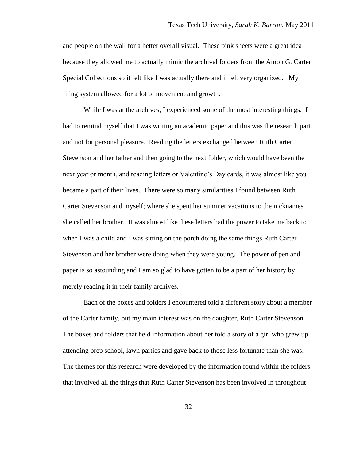and people on the wall for a better overall visual. These pink sheets were a great idea because they allowed me to actually mimic the archival folders from the Amon G. Carter Special Collections so it felt like I was actually there and it felt very organized. My filing system allowed for a lot of movement and growth.

While I was at the archives, I experienced some of the most interesting things. I had to remind myself that I was writing an academic paper and this was the research part and not for personal pleasure. Reading the letters exchanged between Ruth Carter Stevenson and her father and then going to the next folder, which would have been the next year or month, and reading letters or Valentine"s Day cards, it was almost like you became a part of their lives. There were so many similarities I found between Ruth Carter Stevenson and myself; where she spent her summer vacations to the nicknames she called her brother. It was almost like these letters had the power to take me back to when I was a child and I was sitting on the porch doing the same things Ruth Carter Stevenson and her brother were doing when they were young. The power of pen and paper is so astounding and I am so glad to have gotten to be a part of her history by merely reading it in their family archives.

Each of the boxes and folders I encountered told a different story about a member of the Carter family, but my main interest was on the daughter, Ruth Carter Stevenson. The boxes and folders that held information about her told a story of a girl who grew up attending prep school, lawn parties and gave back to those less fortunate than she was. The themes for this research were developed by the information found within the folders that involved all the things that Ruth Carter Stevenson has been involved in throughout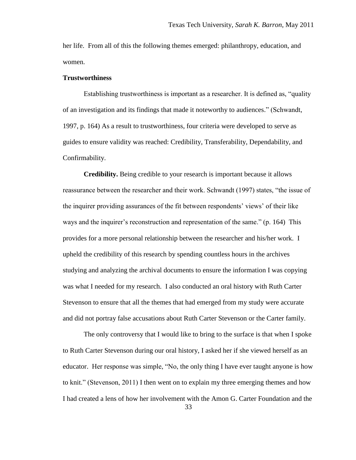her life. From all of this the following themes emerged: philanthropy, education, and women.

#### **Trustworthiness**

Establishing trustworthiness is important as a researcher. It is defined as, "quality of an investigation and its findings that made it noteworthy to audiences." (Schwandt, 1997, p. 164) As a result to trustworthiness, four criteria were developed to serve as guides to ensure validity was reached: Credibility, Transferability, Dependability, and Confirmability.

**Credibility.** Being credible to your research is important because it allows reassurance between the researcher and their work. Schwandt (1997) states, "the issue of the inquirer providing assurances of the fit between respondents" views" of their like ways and the inquirer"s reconstruction and representation of the same." (p. 164) This provides for a more personal relationship between the researcher and his/her work. I upheld the credibility of this research by spending countless hours in the archives studying and analyzing the archival documents to ensure the information I was copying was what I needed for my research. I also conducted an oral history with Ruth Carter Stevenson to ensure that all the themes that had emerged from my study were accurate and did not portray false accusations about Ruth Carter Stevenson or the Carter family.

The only controversy that I would like to bring to the surface is that when I spoke to Ruth Carter Stevenson during our oral history, I asked her if she viewed herself as an educator. Her response was simple, "No, the only thing I have ever taught anyone is how to knit." (Stevenson, 2011) I then went on to explain my three emerging themes and how I had created a lens of how her involvement with the Amon G. Carter Foundation and the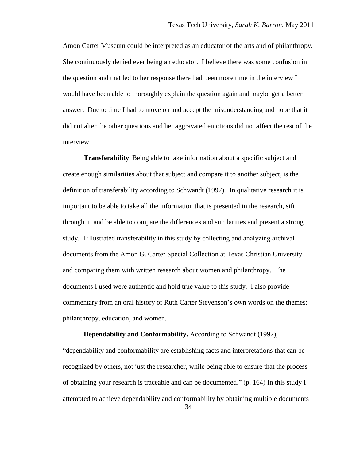Amon Carter Museum could be interpreted as an educator of the arts and of philanthropy. She continuously denied ever being an educator. I believe there was some confusion in the question and that led to her response there had been more time in the interview I would have been able to thoroughly explain the question again and maybe get a better answer. Due to time I had to move on and accept the misunderstanding and hope that it did not alter the other questions and her aggravated emotions did not affect the rest of the interview.

**Transferability**. Being able to take information about a specific subject and create enough similarities about that subject and compare it to another subject, is the definition of transferability according to Schwandt (1997). In qualitative research it is important to be able to take all the information that is presented in the research, sift through it, and be able to compare the differences and similarities and present a strong study. I illustrated transferability in this study by collecting and analyzing archival documents from the Amon G. Carter Special Collection at Texas Christian University and comparing them with written research about women and philanthropy. The documents I used were authentic and hold true value to this study. I also provide commentary from an oral history of Ruth Carter Stevenson"s own words on the themes: philanthropy, education, and women.

**Dependability and Conformability.** According to Schwandt (1997),

"dependability and conformability are establishing facts and interpretations that can be recognized by others, not just the researcher, while being able to ensure that the process of obtaining your research is traceable and can be documented." (p. 164) In this study I attempted to achieve dependability and conformability by obtaining multiple documents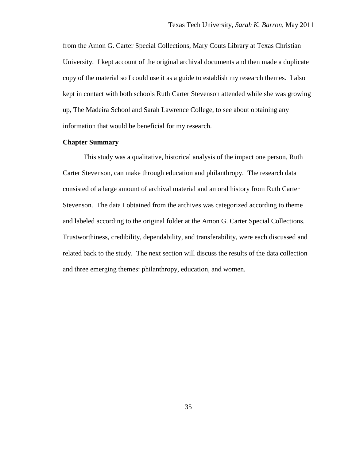from the Amon G. Carter Special Collections, Mary Couts Library at Texas Christian University. I kept account of the original archival documents and then made a duplicate copy of the material so I could use it as a guide to establish my research themes. I also kept in contact with both schools Ruth Carter Stevenson attended while she was growing up, The Madeira School and Sarah Lawrence College, to see about obtaining any information that would be beneficial for my research.

# **Chapter Summary**

This study was a qualitative, historical analysis of the impact one person, Ruth Carter Stevenson, can make through education and philanthropy. The research data consisted of a large amount of archival material and an oral history from Ruth Carter Stevenson. The data I obtained from the archives was categorized according to theme and labeled according to the original folder at the Amon G. Carter Special Collections. Trustworthiness, credibility, dependability, and transferability, were each discussed and related back to the study. The next section will discuss the results of the data collection and three emerging themes: philanthropy, education, and women.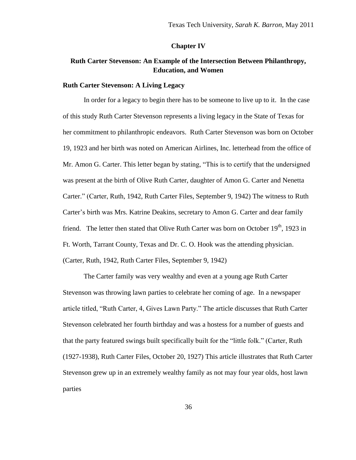### **Chapter IV**

# **Ruth Carter Stevenson: An Example of the Intersection Between Philanthropy, Education, and Women**

#### **Ruth Carter Stevenson: A Living Legacy**

In order for a legacy to begin there has to be someone to live up to it. In the case of this study Ruth Carter Stevenson represents a living legacy in the State of Texas for her commitment to philanthropic endeavors. Ruth Carter Stevenson was born on October 19, 1923 and her birth was noted on American Airlines, Inc. letterhead from the office of Mr. Amon G. Carter. This letter began by stating, "This is to certify that the undersigned was present at the birth of Olive Ruth Carter, daughter of Amon G. Carter and Nenetta Carter." (Carter, Ruth, 1942, Ruth Carter Files, September 9, 1942) The witness to Ruth Carter"s birth was Mrs. Katrine Deakins, secretary to Amon G. Carter and dear family friend. The letter then stated that Olive Ruth Carter was born on October  $19<sup>th</sup>$ , 1923 in Ft. Worth, Tarrant County, Texas and Dr. C. O. Hook was the attending physician. (Carter, Ruth, 1942, Ruth Carter Files, September 9, 1942)

The Carter family was very wealthy and even at a young age Ruth Carter Stevenson was throwing lawn parties to celebrate her coming of age. In a newspaper article titled, "Ruth Carter, 4, Gives Lawn Party." The article discusses that Ruth Carter Stevenson celebrated her fourth birthday and was a hostess for a number of guests and that the party featured swings built specifically built for the "little folk." (Carter, Ruth (1927-1938), Ruth Carter Files, October 20, 1927) This article illustrates that Ruth Carter Stevenson grew up in an extremely wealthy family as not may four year olds, host lawn parties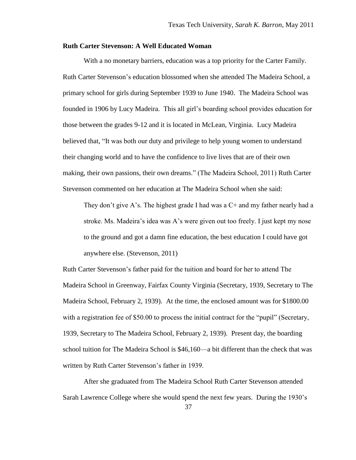# **Ruth Carter Stevenson: A Well Educated Woman**

With a no monetary barriers, education was a top priority for the Carter Family. Ruth Carter Stevenson"s education blossomed when she attended The Madeira School, a primary school for girls during September 1939 to June 1940. The Madeira School was founded in 1906 by Lucy Madeira. This all girl"s boarding school provides education for those between the grades 9-12 and it is located in McLean, Virginia. Lucy Madeira believed that, "It was both our duty and privilege to help young women to understand their changing world and to have the confidence to live lives that are of their own making, their own passions, their own dreams." (The Madeira School, 2011) Ruth Carter Stevenson commented on her education at The Madeira School when she said:

They don't give A's. The highest grade I had was a  $C+$  and my father nearly had a stroke. Ms. Madeira"s idea was A"s were given out too freely. I just kept my nose to the ground and got a damn fine education, the best education I could have got anywhere else. (Stevenson, 2011)

Ruth Carter Stevenson"s father paid for the tuition and board for her to attend The Madeira School in Greenway, Fairfax County Virginia (Secretary, 1939, Secretary to The Madeira School, February 2, 1939). At the time, the enclosed amount was for \$1800.00 with a registration fee of \$50.00 to process the initial contract for the "pupil" (Secretary, 1939, Secretary to The Madeira School, February 2, 1939). Present day, the boarding school tuition for The Madeira School is \$46,160—a bit different than the check that was written by Ruth Carter Stevenson"s father in 1939.

After she graduated from The Madeira School Ruth Carter Stevenson attended Sarah Lawrence College where she would spend the next few years. During the 1930"s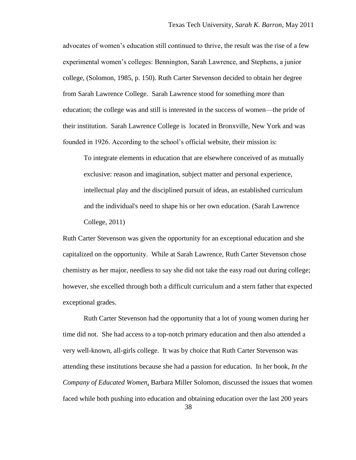advocates of women"s education still continued to thrive, the result was the rise of a few experimental women"s colleges: Bennington, Sarah Lawrence, and Stephens, a junior college, (Solomon, 1985, p. 150). Ruth Carter Stevenson decided to obtain her degree from Sarah Lawrence College. Sarah Lawrence stood for something more than education; the college was and still is interested in the success of women—the pride of their institution. Sarah Lawrence College is located in Bronxville, New York and was founded in 1926. According to the school's official website, their mission is:

To integrate elements in education that are elsewhere conceived of as mutually exclusive: reason and imagination, subject matter and personal experience, intellectual play and the disciplined pursuit of ideas, an established curriculum and the individual's need to shape his or her own education. (Sarah Lawrence College, 2011)

Ruth Carter Stevenson was given the opportunity for an exceptional education and she capitalized on the opportunity. While at Sarah Lawrence, Ruth Carter Stevenson chose chemistry as her major, needless to say she did not take the easy road out during college; however, she excelled through both a difficult curriculum and a stern father that expected exceptional grades.

Ruth Carter Stevenson had the opportunity that a lot of young women during her time did not. She had access to a top-notch primary education and then also attended a very well-known, all-girls college. It was by choice that Ruth Carter Stevenson was attending these institutions because she had a passion for education. In her book, *In the Company of Educated Women*, Barbara Miller Solomon, discussed the issues that women faced while both pushing into education and obtaining education over the last 200 years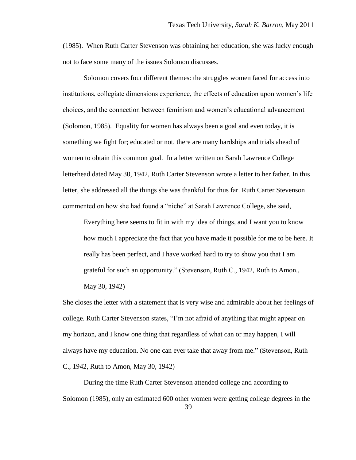(1985). When Ruth Carter Stevenson was obtaining her education, she was lucky enough not to face some many of the issues Solomon discusses.

Solomon covers four different themes: the struggles women faced for access into institutions, collegiate dimensions experience, the effects of education upon women"s life choices, and the connection between feminism and women"s educational advancement (Solomon, 1985). Equality for women has always been a goal and even today, it is something we fight for; educated or not, there are many hardships and trials ahead of women to obtain this common goal. In a letter written on Sarah Lawrence College letterhead dated May 30, 1942, Ruth Carter Stevenson wrote a letter to her father. In this letter, she addressed all the things she was thankful for thus far. Ruth Carter Stevenson commented on how she had found a "niche" at Sarah Lawrence College, she said,

Everything here seems to fit in with my idea of things, and I want you to know how much I appreciate the fact that you have made it possible for me to be here. It really has been perfect, and I have worked hard to try to show you that I am grateful for such an opportunity." (Stevenson, Ruth C., 1942, Ruth to Amon., May 30, 1942)

She closes the letter with a statement that is very wise and admirable about her feelings of college. Ruth Carter Stevenson states, "I"m not afraid of anything that might appear on my horizon, and I know one thing that regardless of what can or may happen, I will always have my education. No one can ever take that away from me." (Stevenson, Ruth C., 1942, Ruth to Amon, May 30, 1942)

During the time Ruth Carter Stevenson attended college and according to Solomon (1985), only an estimated 600 other women were getting college degrees in the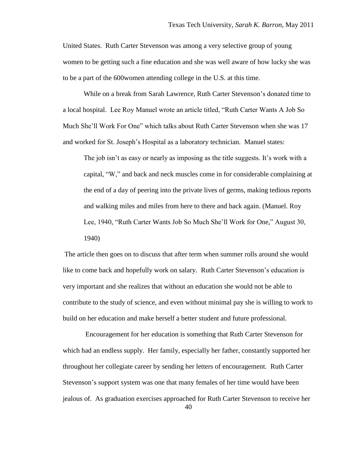United States. Ruth Carter Stevenson was among a very selective group of young women to be getting such a fine education and she was well aware of how lucky she was to be a part of the 600women attending college in the U.S. at this time.

While on a break from Sarah Lawrence, Ruth Carter Stevenson"s donated time to a local hospital. Lee Roy Manuel wrote an article titled, "Ruth Carter Wants A Job So Much She"ll Work For One" which talks about Ruth Carter Stevenson when she was 17 and worked for St. Joseph"s Hospital as a laboratory technician. Manuel states:

The job isn't as easy or nearly as imposing as the title suggests. It's work with a capital, "W," and back and neck muscles come in for considerable complaining at the end of a day of peering into the private lives of germs, making tedious reports and walking miles and miles from here to there and back again. (Manuel. Roy Lee, 1940, "Ruth Carter Wants Job So Much She"ll Work for One," August 30, 1940)

The article then goes on to discuss that after term when summer rolls around she would like to come back and hopefully work on salary. Ruth Carter Stevenson's education is very important and she realizes that without an education she would not be able to contribute to the study of science, and even without minimal pay she is willing to work to build on her education and make herself a better student and future professional.

Encouragement for her education is something that Ruth Carter Stevenson for which had an endless supply. Her family, especially her father, constantly supported her throughout her collegiate career by sending her letters of encouragement. Ruth Carter Stevenson"s support system was one that many females of her time would have been jealous of. As graduation exercises approached for Ruth Carter Stevenson to receive her

40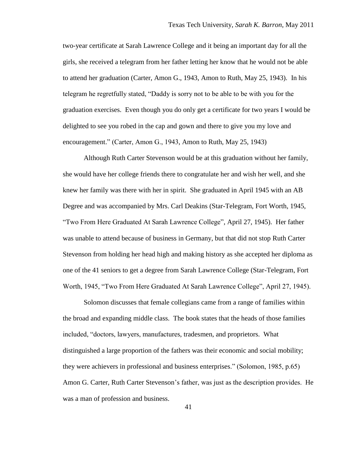two-year certificate at Sarah Lawrence College and it being an important day for all the girls, she received a telegram from her father letting her know that he would not be able to attend her graduation (Carter, Amon G., 1943, Amon to Ruth, May 25, 1943). In his telegram he regretfully stated, "Daddy is sorry not to be able to be with you for the graduation exercises. Even though you do only get a certificate for two years I would be delighted to see you robed in the cap and gown and there to give you my love and encouragement." (Carter, Amon G., 1943, Amon to Ruth, May 25, 1943)

Although Ruth Carter Stevenson would be at this graduation without her family, she would have her college friends there to congratulate her and wish her well, and she knew her family was there with her in spirit. She graduated in April 1945 with an AB Degree and was accompanied by Mrs. Carl Deakins (Star-Telegram, Fort Worth, 1945, "Two From Here Graduated At Sarah Lawrence College", April 27, 1945). Her father was unable to attend because of business in Germany, but that did not stop Ruth Carter Stevenson from holding her head high and making history as she accepted her diploma as one of the 41 seniors to get a degree from Sarah Lawrence College (Star-Telegram, Fort Worth, 1945, "Two From Here Graduated At Sarah Lawrence College", April 27, 1945).

Solomon discusses that female collegians came from a range of families within the broad and expanding middle class. The book states that the heads of those families included, "doctors, lawyers, manufactures, tradesmen, and proprietors. What distinguished a large proportion of the fathers was their economic and social mobility; they were achievers in professional and business enterprises." (Solomon, 1985, p.65) Amon G. Carter, Ruth Carter Stevenson"s father, was just as the description provides. He was a man of profession and business.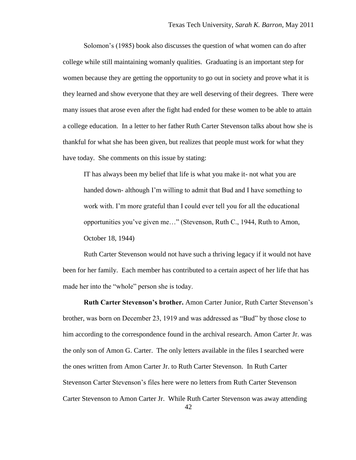Solomon"s (1985) book also discusses the question of what women can do after college while still maintaining womanly qualities. Graduating is an important step for women because they are getting the opportunity to go out in society and prove what it is they learned and show everyone that they are well deserving of their degrees. There were many issues that arose even after the fight had ended for these women to be able to attain a college education. In a letter to her father Ruth Carter Stevenson talks about how she is thankful for what she has been given, but realizes that people must work for what they have today. She comments on this issue by stating:

IT has always been my belief that life is what you make it- not what you are handed down- although I"m willing to admit that Bud and I have something to work with. I'm more grateful than I could ever tell you for all the educational opportunities you"ve given me…" (Stevenson, Ruth C., 1944, Ruth to Amon, October 18, 1944)

Ruth Carter Stevenson would not have such a thriving legacy if it would not have been for her family. Each member has contributed to a certain aspect of her life that has made her into the "whole" person she is today.

42 **Ruth Carter Stevenson's brother.** Amon Carter Junior, Ruth Carter Stevenson"s brother, was born on December 23, 1919 and was addressed as "Bud" by those close to him according to the correspondence found in the archival research. Amon Carter Jr. was the only son of Amon G. Carter. The only letters available in the files I searched were the ones written from Amon Carter Jr. to Ruth Carter Stevenson. In Ruth Carter Stevenson Carter Stevenson"s files here were no letters from Ruth Carter Stevenson Carter Stevenson to Amon Carter Jr. While Ruth Carter Stevenson was away attending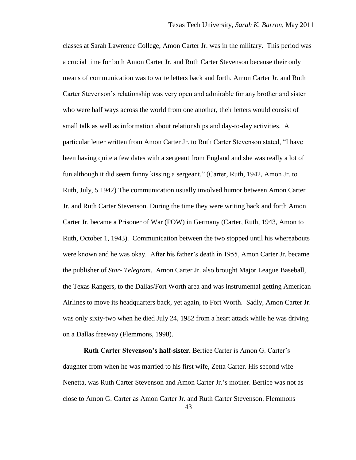classes at Sarah Lawrence College, Amon Carter Jr. was in the military. This period was a crucial time for both Amon Carter Jr. and Ruth Carter Stevenson because their only means of communication was to write letters back and forth. Amon Carter Jr. and Ruth Carter Stevenson"s relationship was very open and admirable for any brother and sister who were half ways across the world from one another, their letters would consist of small talk as well as information about relationships and day-to-day activities. A particular letter written from Amon Carter Jr. to Ruth Carter Stevenson stated, "I have been having quite a few dates with a sergeant from England and she was really a lot of fun although it did seem funny kissing a sergeant." (Carter, Ruth, 1942, Amon Jr. to Ruth, July, 5 1942) The communication usually involved humor between Amon Carter Jr. and Ruth Carter Stevenson. During the time they were writing back and forth Amon Carter Jr. became a Prisoner of War (POW) in Germany (Carter, Ruth, 1943, Amon to Ruth, October 1, 1943). Communication between the two stopped until his whereabouts were known and he was okay. After his father"s death in 1955, Amon Carter Jr. became the publisher of *Star- Telegram.* Amon Carter Jr. also brought Major League Baseball, the Texas Rangers, to the Dallas/Fort Worth area and was instrumental getting American Airlines to move its headquarters back, yet again, to Fort Worth. Sadly, Amon Carter Jr. was only sixty-two when he died July 24, 1982 from a heart attack while he was driving on a Dallas freeway (Flemmons, 1998).

**Ruth Carter Stevenson's half-sister.** Bertice Carter is Amon G. Carter"s daughter from when he was married to his first wife, Zetta Carter. His second wife Nenetta, was Ruth Carter Stevenson and Amon Carter Jr."s mother. Bertice was not as close to Amon G. Carter as Amon Carter Jr. and Ruth Carter Stevenson. Flemmons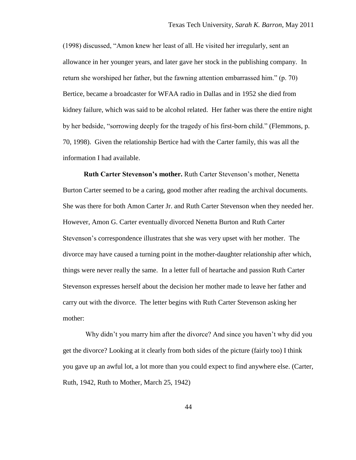(1998) discussed, "Amon knew her least of all. He visited her irregularly, sent an allowance in her younger years, and later gave her stock in the publishing company. In return she worshiped her father, but the fawning attention embarrassed him." (p. 70) Bertice, became a broadcaster for WFAA radio in Dallas and in 1952 she died from kidney failure, which was said to be alcohol related. Her father was there the entire night by her bedside, "sorrowing deeply for the tragedy of his first-born child." (Flemmons, p. 70, 1998). Given the relationship Bertice had with the Carter family, this was all the information I had available.

**Ruth Carter Stevenson's mother.** Ruth Carter Stevenson"s mother, Nenetta Burton Carter seemed to be a caring, good mother after reading the archival documents. She was there for both Amon Carter Jr. and Ruth Carter Stevenson when they needed her. However, Amon G. Carter eventually divorced Nenetta Burton and Ruth Carter Stevenson"s correspondence illustrates that she was very upset with her mother. The divorce may have caused a turning point in the mother-daughter relationship after which, things were never really the same. In a letter full of heartache and passion Ruth Carter Stevenson expresses herself about the decision her mother made to leave her father and carry out with the divorce. The letter begins with Ruth Carter Stevenson asking her mother:

Why didn"t you marry him after the divorce? And since you haven"t why did you get the divorce? Looking at it clearly from both sides of the picture (fairly too) I think you gave up an awful lot, a lot more than you could expect to find anywhere else. (Carter, Ruth, 1942, Ruth to Mother, March 25, 1942)

44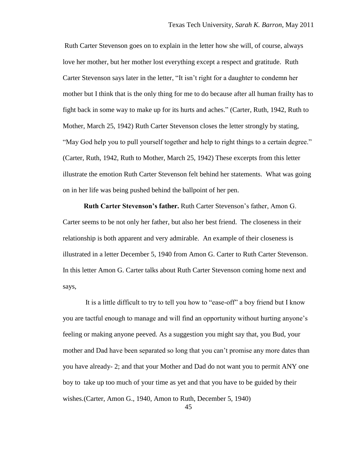Ruth Carter Stevenson goes on to explain in the letter how she will, of course, always love her mother, but her mother lost everything except a respect and gratitude. Ruth Carter Stevenson says later in the letter, "It isn"t right for a daughter to condemn her mother but I think that is the only thing for me to do because after all human frailty has to fight back in some way to make up for its hurts and aches." (Carter, Ruth, 1942, Ruth to Mother, March 25, 1942) Ruth Carter Stevenson closes the letter strongly by stating, "May God help you to pull yourself together and help to right things to a certain degree." (Carter, Ruth, 1942, Ruth to Mother, March 25, 1942) These excerpts from this letter illustrate the emotion Ruth Carter Stevenson felt behind her statements. What was going on in her life was being pushed behind the ballpoint of her pen.

**Ruth Carter Stevenson's father.** Ruth Carter Stevenson"s father, Amon G. Carter seems to be not only her father, but also her best friend. The closeness in their relationship is both apparent and very admirable. An example of their closeness is illustrated in a letter December 5, 1940 from Amon G. Carter to Ruth Carter Stevenson. In this letter Amon G. Carter talks about Ruth Carter Stevenson coming home next and says,

It is a little difficult to try to tell you how to "ease-off" a boy friend but I know you are tactful enough to manage and will find an opportunity without hurting anyone"s feeling or making anyone peeved. As a suggestion you might say that, you Bud, your mother and Dad have been separated so long that you can"t promise any more dates than you have already- 2; and that your Mother and Dad do not want you to permit ANY one boy to take up too much of your time as yet and that you have to be guided by their wishes.(Carter, Amon G., 1940, Amon to Ruth, December 5, 1940)

45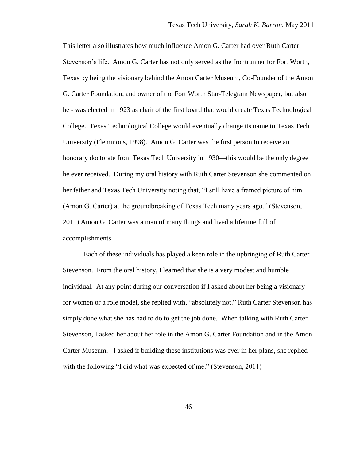This letter also illustrates how much influence Amon G. Carter had over Ruth Carter Stevenson"s life. Amon G. Carter has not only served as the frontrunner for Fort Worth, Texas by being the visionary behind the Amon Carter Museum, Co-Founder of the Amon G. Carter Foundation, and owner of the Fort Worth Star-Telegram Newspaper, but also he - was elected in 1923 as chair of the first board that would create Texas Technological College. Texas Technological College would eventually change its name to Texas Tech University (Flemmons, 1998). Amon G. Carter was the first person to receive an honorary doctorate from Texas Tech University in 1930—this would be the only degree he ever received. During my oral history with Ruth Carter Stevenson she commented on her father and Texas Tech University noting that, "I still have a framed picture of him (Amon G. Carter) at the groundbreaking of Texas Tech many years ago." (Stevenson, 2011) Amon G. Carter was a man of many things and lived a lifetime full of accomplishments.

Each of these individuals has played a keen role in the upbringing of Ruth Carter Stevenson. From the oral history, I learned that she is a very modest and humble individual. At any point during our conversation if I asked about her being a visionary for women or a role model, she replied with, "absolutely not." Ruth Carter Stevenson has simply done what she has had to do to get the job done. When talking with Ruth Carter Stevenson, I asked her about her role in the Amon G. Carter Foundation and in the Amon Carter Museum. I asked if building these institutions was ever in her plans, she replied with the following "I did what was expected of me." (Stevenson, 2011)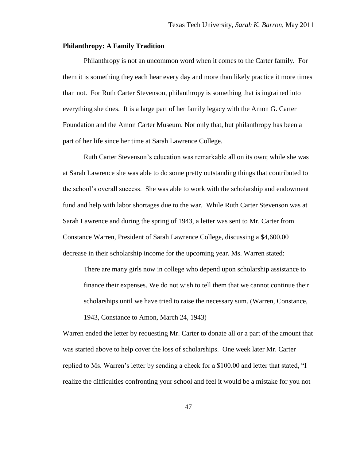# **Philanthropy: A Family Tradition**

Philanthropy is not an uncommon word when it comes to the Carter family. For them it is something they each hear every day and more than likely practice it more times than not. For Ruth Carter Stevenson, philanthropy is something that is ingrained into everything she does. It is a large part of her family legacy with the Amon G. Carter Foundation and the Amon Carter Museum. Not only that, but philanthropy has been a part of her life since her time at Sarah Lawrence College.

Ruth Carter Stevenson"s education was remarkable all on its own; while she was at Sarah Lawrence she was able to do some pretty outstanding things that contributed to the school"s overall success. She was able to work with the scholarship and endowment fund and help with labor shortages due to the war. While Ruth Carter Stevenson was at Sarah Lawrence and during the spring of 1943, a letter was sent to Mr. Carter from Constance Warren, President of Sarah Lawrence College, discussing a \$4,600.00 decrease in their scholarship income for the upcoming year. Ms. Warren stated:

There are many girls now in college who depend upon scholarship assistance to finance their expenses. We do not wish to tell them that we cannot continue their scholarships until we have tried to raise the necessary sum. (Warren, Constance,

1943, Constance to Amon, March 24, 1943)

Warren ended the letter by requesting Mr. Carter to donate all or a part of the amount that was started above to help cover the loss of scholarships. One week later Mr. Carter replied to Ms. Warren"s letter by sending a check for a \$100.00 and letter that stated, "I realize the difficulties confronting your school and feel it would be a mistake for you not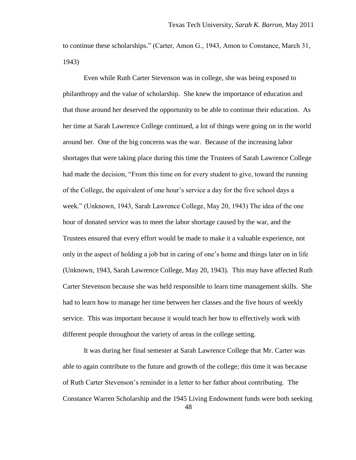to continue these scholarships." (Carter, Amon G., 1943, Amon to Constance, March 31, 1943)

Even while Ruth Carter Stevenson was in college, she was being exposed to philanthropy and the value of scholarship. She knew the importance of education and that those around her deserved the opportunity to be able to continue their education. As her time at Sarah Lawrence College continued, a lot of things were going on in the world around her. One of the big concerns was the war. Because of the increasing labor shortages that were taking place during this time the Trustees of Sarah Lawrence College had made the decision, "From this time on for every student to give, toward the running of the College, the equivalent of one hour"s service a day for the five school days a week." (Unknown, 1943, Sarah Lawrence College, May 20, 1943) The idea of the one hour of donated service was to meet the labor shortage caused by the war, and the Trustees ensured that every effort would be made to make it a valuable experience, not only in the aspect of holding a job but in caring of one"s home and things later on in life (Unknown, 1943, Sarah Lawrence College, May 20, 1943). This may have affected Ruth Carter Stevenson because she was held responsible to learn time management skills. She had to learn how to manage her time between her classes and the five hours of weekly service. This was important because it would teach her how to effectively work with different people throughout the variety of areas in the college setting.

It was during her final semester at Sarah Lawrence College that Mr. Carter was able to again contribute to the future and growth of the college; this time it was because of Ruth Carter Stevenson"s reminder in a letter to her father about contributing. The Constance Warren Scholarship and the 1945 Living Endowment funds were both seeking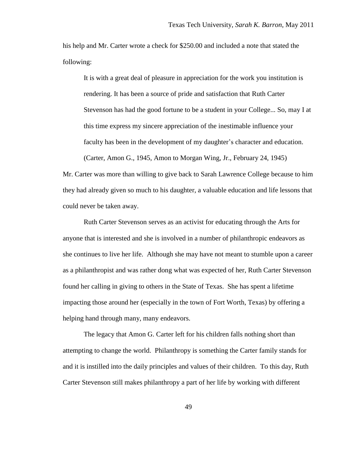his help and Mr. Carter wrote a check for \$250.00 and included a note that stated the following:

It is with a great deal of pleasure in appreciation for the work you institution is rendering. It has been a source of pride and satisfaction that Ruth Carter Stevenson has had the good fortune to be a student in your College... So, may I at this time express my sincere appreciation of the inestimable influence your faculty has been in the development of my daughter's character and education.

Mr. Carter was more than willing to give back to Sarah Lawrence College because to him they had already given so much to his daughter, a valuable education and life lessons that could never be taken away.

(Carter, Amon G., 1945, Amon to Morgan Wing, Jr., February 24, 1945)

Ruth Carter Stevenson serves as an activist for educating through the Arts for anyone that is interested and she is involved in a number of philanthropic endeavors as she continues to live her life. Although she may have not meant to stumble upon a career as a philanthropist and was rather dong what was expected of her, Ruth Carter Stevenson found her calling in giving to others in the State of Texas. She has spent a lifetime impacting those around her (especially in the town of Fort Worth, Texas) by offering a helping hand through many, many endeavors.

The legacy that Amon G. Carter left for his children falls nothing short than attempting to change the world. Philanthropy is something the Carter family stands for and it is instilled into the daily principles and values of their children. To this day, Ruth Carter Stevenson still makes philanthropy a part of her life by working with different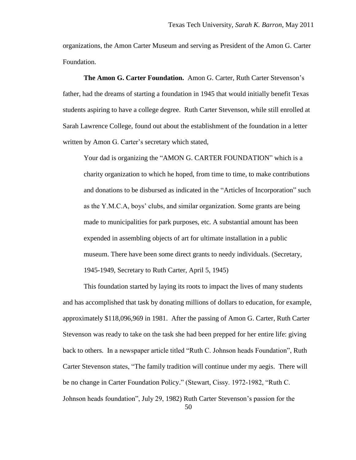organizations, the Amon Carter Museum and serving as President of the Amon G. Carter Foundation.

**The Amon G. Carter Foundation.** Amon G. Carter, Ruth Carter Stevenson"s father, had the dreams of starting a foundation in 1945 that would initially benefit Texas students aspiring to have a college degree. Ruth Carter Stevenson, while still enrolled at Sarah Lawrence College, found out about the establishment of the foundation in a letter written by Amon G. Carter's secretary which stated,

Your dad is organizing the "AMON G. CARTER FOUNDATION" which is a charity organization to which he hoped, from time to time, to make contributions and donations to be disbursed as indicated in the "Articles of Incorporation" such as the Y.M.C.A, boys" clubs, and similar organization. Some grants are being made to municipalities for park purposes, etc. A substantial amount has been expended in assembling objects of art for ultimate installation in a public museum. There have been some direct grants to needy individuals. (Secretary, 1945-1949, Secretary to Ruth Carter, April 5, 1945)

This foundation started by laying its roots to impact the lives of many students and has accomplished that task by donating millions of dollars to education, for example, approximately \$118,096,969 in 1981. After the passing of Amon G. Carter, Ruth Carter Stevenson was ready to take on the task she had been prepped for her entire life: giving back to others. In a newspaper article titled "Ruth C. Johnson heads Foundation", Ruth Carter Stevenson states, "The family tradition will continue under my aegis. There will be no change in Carter Foundation Policy." (Stewart, Cissy. 1972-1982, "Ruth C. Johnson heads foundation", July 29, 1982) Ruth Carter Stevenson"s passion for the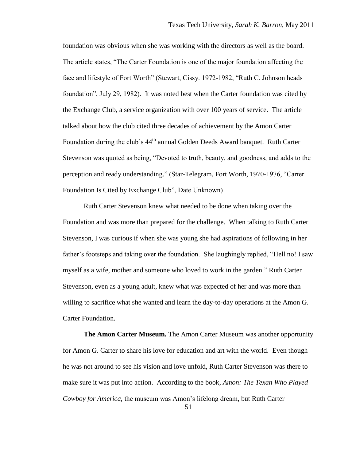foundation was obvious when she was working with the directors as well as the board. The article states, "The Carter Foundation is one of the major foundation affecting the face and lifestyle of Fort Worth" (Stewart, Cissy. 1972-1982, "Ruth C. Johnson heads foundation", July 29, 1982). It was noted best when the Carter foundation was cited by the Exchange Club, a service organization with over 100 years of service. The article talked about how the club cited three decades of achievement by the Amon Carter Foundation during the club's 44<sup>th</sup> annual Golden Deeds Award banquet. Ruth Carter Stevenson was quoted as being, "Devoted to truth, beauty, and goodness, and adds to the perception and ready understanding." (Star-Telegram, Fort Worth, 1970-1976, "Carter Foundation Is Cited by Exchange Club", Date Unknown)

Ruth Carter Stevenson knew what needed to be done when taking over the Foundation and was more than prepared for the challenge. When talking to Ruth Carter Stevenson, I was curious if when she was young she had aspirations of following in her father"s footsteps and taking over the foundation. She laughingly replied, "Hell no! I saw myself as a wife, mother and someone who loved to work in the garden." Ruth Carter Stevenson, even as a young adult, knew what was expected of her and was more than willing to sacrifice what she wanted and learn the day-to-day operations at the Amon G. Carter Foundation.

**The Amon Carter Museum.** The Amon Carter Museum was another opportunity for Amon G. Carter to share his love for education and art with the world. Even though he was not around to see his vision and love unfold, Ruth Carter Stevenson was there to make sure it was put into action. According to the book*, Amon: The Texan Who Played Cowboy for America*, the museum was Amon"s lifelong dream, but Ruth Carter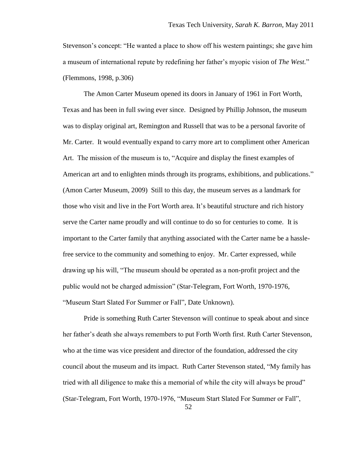Stevenson"s concept: "He wanted a place to show off his western paintings; she gave him a museum of international repute by redefining her father"s myopic vision of *The West.*" (Flemmons, 1998, p.306)

The Amon Carter Museum opened its doors in January of 1961 in Fort Worth, Texas and has been in full swing ever since. Designed by Phillip Johnson, the museum was to display original art, Remington and Russell that was to be a personal favorite of Mr. Carter. It would eventually expand to carry more art to compliment other American Art. The mission of the museum is to, "Acquire and display the finest examples of American art and to enlighten minds through its programs, exhibitions, and publications." (Amon Carter Museum, 2009) Still to this day, the museum serves as a landmark for those who visit and live in the Fort Worth area. It's beautiful structure and rich history serve the Carter name proudly and will continue to do so for centuries to come. It is important to the Carter family that anything associated with the Carter name be a hasslefree service to the community and something to enjoy. Mr. Carter expressed, while drawing up his will, "The museum should be operated as a non-profit project and the public would not be charged admission" (Star-Telegram, Fort Worth, 1970-1976, "Museum Start Slated For Summer or Fall", Date Unknown).

Pride is something Ruth Carter Stevenson will continue to speak about and since her father"s death she always remembers to put Forth Worth first. Ruth Carter Stevenson, who at the time was vice president and director of the foundation, addressed the city council about the museum and its impact. Ruth Carter Stevenson stated, "My family has tried with all diligence to make this a memorial of while the city will always be proud" (Star-Telegram, Fort Worth, 1970-1976, "Museum Start Slated For Summer or Fall",

52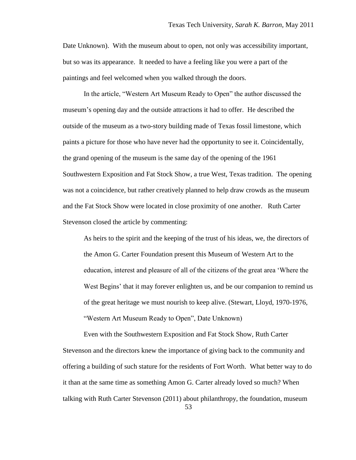Date Unknown). With the museum about to open, not only was accessibility important, but so was its appearance. It needed to have a feeling like you were a part of the paintings and feel welcomed when you walked through the doors.

In the article, "Western Art Museum Ready to Open" the author discussed the museum"s opening day and the outside attractions it had to offer. He described the outside of the museum as a two-story building made of Texas fossil limestone, which paints a picture for those who have never had the opportunity to see it. Coincidentally, the grand opening of the museum is the same day of the opening of the 1961 Southwestern Exposition and Fat Stock Show, a true West, Texas tradition. The opening was not a coincidence, but rather creatively planned to help draw crowds as the museum and the Fat Stock Show were located in close proximity of one another. Ruth Carter Stevenson closed the article by commenting:

As heirs to the spirit and the keeping of the trust of his ideas, we, the directors of the Amon G. Carter Foundation present this Museum of Western Art to the education, interest and pleasure of all of the citizens of the great area "Where the West Begins' that it may forever enlighten us, and be our companion to remind us of the great heritage we must nourish to keep alive. (Stewart, Lloyd, 1970-1976, "Western Art Museum Ready to Open", Date Unknown)

53 Even with the Southwestern Exposition and Fat Stock Show, Ruth Carter Stevenson and the directors knew the importance of giving back to the community and offering a building of such stature for the residents of Fort Worth. What better way to do it than at the same time as something Amon G. Carter already loved so much? When talking with Ruth Carter Stevenson (2011) about philanthropy, the foundation, museum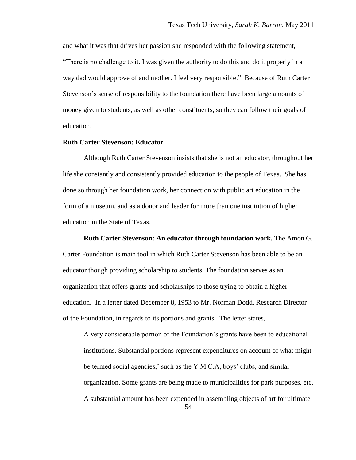and what it was that drives her passion she responded with the following statement, "There is no challenge to it. I was given the authority to do this and do it properly in a way dad would approve of and mother. I feel very responsible." Because of Ruth Carter Stevenson"s sense of responsibility to the foundation there have been large amounts of money given to students, as well as other constituents, so they can follow their goals of education.

#### **Ruth Carter Stevenson: Educator**

Although Ruth Carter Stevenson insists that she is not an educator, throughout her life she constantly and consistently provided education to the people of Texas. She has done so through her foundation work, her connection with public art education in the form of a museum, and as a donor and leader for more than one institution of higher education in the State of Texas.

#### **Ruth Carter Stevenson: An educator through foundation work.** The Amon G.

Carter Foundation is main tool in which Ruth Carter Stevenson has been able to be an educator though providing scholarship to students. The foundation serves as an organization that offers grants and scholarships to those trying to obtain a higher education. In a letter dated December 8, 1953 to Mr. Norman Dodd, Research Director of the Foundation, in regards to its portions and grants. The letter states,

A very considerable portion of the Foundation"s grants have been to educational institutions. Substantial portions represent expenditures on account of what might be termed social agencies,' such as the Y.M.C.A, boys' clubs, and similar organization. Some grants are being made to municipalities for park purposes, etc. A substantial amount has been expended in assembling objects of art for ultimate

54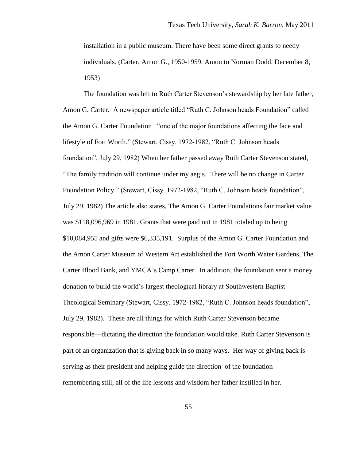installation in a public museum. There have been some direct grants to needy individuals. (Carter, Amon G., 1950-1959, Amon to Norman Dodd, December 8, 1953)

The foundation was left to Ruth Carter Stevenson"s stewardship by her late father, Amon G. Carter. A newspaper article titled "Ruth C. Johnson heads Foundation" called the Amon G. Carter Foundation "one of the major foundations affecting the face and lifestyle of Fort Worth." (Stewart, Cissy. 1972-1982, "Ruth C. Johnson heads foundation", July 29, 1982) When her father passed away Ruth Carter Stevenson stated, "The family tradition will continue under my aegis. There will be no change in Carter Foundation Policy." (Stewart, Cissy. 1972-1982, "Ruth C. Johnson heads foundation", July 29, 1982) The article also states, The Amon G. Carter Foundations fair market value was \$118,096,969 in 1981. Grants that were paid out in 1981 totaled up to being \$10,084,955 and gifts were \$6,335,191. Surplus of the Amon G. Carter Foundation and the Amon Carter Museum of Western Art established the Fort Worth Water Gardens, The Carter Blood Bank, and YMCA"s Camp Carter. In addition, the foundation sent a money donation to build the world"s largest theological library at Southwestern Baptist Theological Seminary (Stewart, Cissy. 1972-1982, "Ruth C. Johnson heads foundation", July 29, 1982). These are all things for which Ruth Carter Stevenson became responsible—dictating the direction the foundation would take. Ruth Carter Stevenson is part of an organization that is giving back in so many ways. Her way of giving back is serving as their president and helping guide the direction of the foundation remembering still, all of the life lessons and wisdom her father instilled in her.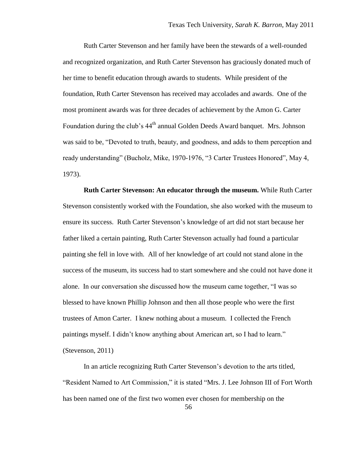Ruth Carter Stevenson and her family have been the stewards of a well-rounded and recognized organization, and Ruth Carter Stevenson has graciously donated much of her time to benefit education through awards to students. While president of the foundation, Ruth Carter Stevenson has received may accolades and awards. One of the most prominent awards was for three decades of achievement by the Amon G. Carter Foundation during the club's 44<sup>th</sup> annual Golden Deeds Award banquet. Mrs. Johnson was said to be, "Devoted to truth, beauty, and goodness, and adds to them perception and ready understanding" (Bucholz, Mike, 1970-1976, "3 Carter Trustees Honored", May 4, 1973).

**Ruth Carter Stevenson: An educator through the museum.** While Ruth Carter Stevenson consistently worked with the Foundation, she also worked with the museum to ensure its success. Ruth Carter Stevenson"s knowledge of art did not start because her father liked a certain painting, Ruth Carter Stevenson actually had found a particular painting she fell in love with. All of her knowledge of art could not stand alone in the success of the museum, its success had to start somewhere and she could not have done it alone. In our conversation she discussed how the museum came together, "I was so blessed to have known Phillip Johnson and then all those people who were the first trustees of Amon Carter. I knew nothing about a museum. I collected the French paintings myself. I didn"t know anything about American art, so I had to learn." (Stevenson, 2011)

In an article recognizing Ruth Carter Stevenson"s devotion to the arts titled, "Resident Named to Art Commission," it is stated "Mrs. J. Lee Johnson III of Fort Worth has been named one of the first two women ever chosen for membership on the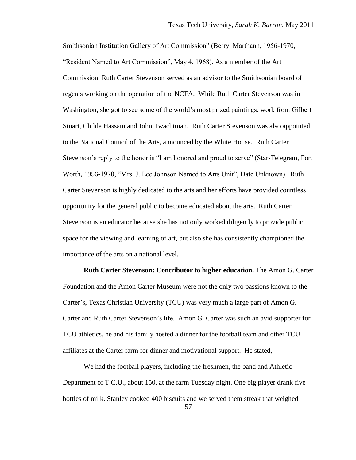Smithsonian Institution Gallery of Art Commission" (Berry, Marthann, 1956-1970, "Resident Named to Art Commission", May 4, 1968). As a member of the Art Commission, Ruth Carter Stevenson served as an advisor to the Smithsonian board of regents working on the operation of the NCFA. While Ruth Carter Stevenson was in Washington, she got to see some of the world"s most prized paintings, work from Gilbert Stuart, Childe Hassam and John Twachtman. Ruth Carter Stevenson was also appointed to the National Council of the Arts, announced by the White House. Ruth Carter Stevenson"s reply to the honor is "I am honored and proud to serve" (Star-Telegram, Fort Worth, 1956-1970, "Mrs. J. Lee Johnson Named to Arts Unit", Date Unknown). Ruth Carter Stevenson is highly dedicated to the arts and her efforts have provided countless opportunity for the general public to become educated about the arts. Ruth Carter Stevenson is an educator because she has not only worked diligently to provide public space for the viewing and learning of art, but also she has consistently championed the importance of the arts on a national level.

**Ruth Carter Stevenson: Contributor to higher education.** The Amon G. Carter Foundation and the Amon Carter Museum were not the only two passions known to the Carter"s, Texas Christian University (TCU) was very much a large part of Amon G. Carter and Ruth Carter Stevenson"s life. Amon G. Carter was such an avid supporter for TCU athletics, he and his family hosted a dinner for the football team and other TCU affiliates at the Carter farm for dinner and motivational support. He stated,

We had the football players, including the freshmen, the band and Athletic Department of T.C.U., about 150, at the farm Tuesday night. One big player drank five bottles of milk. Stanley cooked 400 biscuits and we served them streak that weighed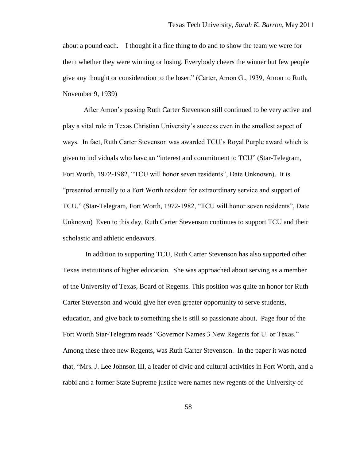about a pound each. I thought it a fine thing to do and to show the team we were for them whether they were winning or losing. Everybody cheers the winner but few people give any thought or consideration to the loser." (Carter, Amon G., 1939, Amon to Ruth, November 9, 1939)

After Amon"s passing Ruth Carter Stevenson still continued to be very active and play a vital role in Texas Christian University"s success even in the smallest aspect of ways. In fact, Ruth Carter Stevenson was awarded TCU"s Royal Purple award which is given to individuals who have an "interest and commitment to TCU" (Star-Telegram, Fort Worth, 1972-1982, "TCU will honor seven residents", Date Unknown). It is "presented annually to a Fort Worth resident for extraordinary service and support of TCU." (Star-Telegram, Fort Worth, 1972-1982, "TCU will honor seven residents", Date Unknown) Even to this day, Ruth Carter Stevenson continues to support TCU and their scholastic and athletic endeavors.

In addition to supporting TCU, Ruth Carter Stevenson has also supported other Texas institutions of higher education. She was approached about serving as a member of the University of Texas, Board of Regents. This position was quite an honor for Ruth Carter Stevenson and would give her even greater opportunity to serve students, education, and give back to something she is still so passionate about. Page four of the Fort Worth Star-Telegram reads "Governor Names 3 New Regents for U. or Texas." Among these three new Regents, was Ruth Carter Stevenson. In the paper it was noted that, "Mrs. J. Lee Johnson III, a leader of civic and cultural activities in Fort Worth, and a rabbi and a former State Supreme justice were names new regents of the University of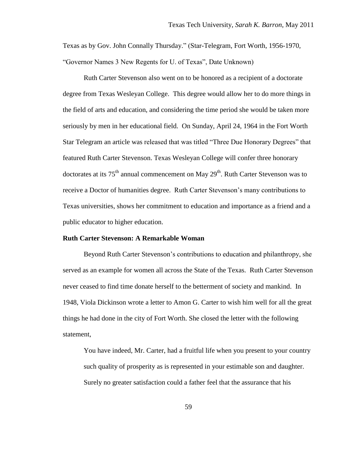Texas as by Gov. John Connally Thursday." (Star-Telegram, Fort Worth, 1956-1970, "Governor Names 3 New Regents for U. of Texas", Date Unknown)

Ruth Carter Stevenson also went on to be honored as a recipient of a doctorate degree from Texas Wesleyan College. This degree would allow her to do more things in the field of arts and education, and considering the time period she would be taken more seriously by men in her educational field. On Sunday, April 24, 1964 in the Fort Worth Star Telegram an article was released that was titled "Three Due Honorary Degrees" that featured Ruth Carter Stevenson. Texas Wesleyan College will confer three honorary doctorates at its 75<sup>th</sup> annual commencement on May 29<sup>th</sup>. Ruth Carter Stevenson was to receive a Doctor of humanities degree. Ruth Carter Stevenson"s many contributions to Texas universities, shows her commitment to education and importance as a friend and a public educator to higher education.

#### **Ruth Carter Stevenson: A Remarkable Woman**

Beyond Ruth Carter Stevenson"s contributions to education and philanthropy, she served as an example for women all across the State of the Texas. Ruth Carter Stevenson never ceased to find time donate herself to the betterment of society and mankind. In 1948, Viola Dickinson wrote a letter to Amon G. Carter to wish him well for all the great things he had done in the city of Fort Worth. She closed the letter with the following statement,

You have indeed, Mr. Carter, had a fruitful life when you present to your country such quality of prosperity as is represented in your estimable son and daughter. Surely no greater satisfaction could a father feel that the assurance that his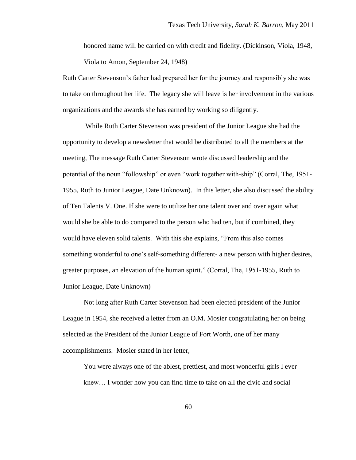honored name will be carried on with credit and fidelity. (Dickinson, Viola, 1948, Viola to Amon, September 24, 1948)

Ruth Carter Stevenson"s father had prepared her for the journey and responsibly she was to take on throughout her life. The legacy she will leave is her involvement in the various organizations and the awards she has earned by working so diligently.

While Ruth Carter Stevenson was president of the Junior League she had the opportunity to develop a newsletter that would be distributed to all the members at the meeting, The message Ruth Carter Stevenson wrote discussed leadership and the potential of the noun "followship" or even "work together with-ship" (Corral, The, 1951- 1955, Ruth to Junior League, Date Unknown). In this letter, she also discussed the ability of Ten Talents V. One. If she were to utilize her one talent over and over again what would she be able to do compared to the person who had ten, but if combined, they would have eleven solid talents. With this she explains, "From this also comes something wonderful to one"s self-something different- a new person with higher desires, greater purposes, an elevation of the human spirit." (Corral, The, 1951-1955, Ruth to Junior League, Date Unknown)

Not long after Ruth Carter Stevenson had been elected president of the Junior League in 1954, she received a letter from an O.M. Mosier congratulating her on being selected as the President of the Junior League of Fort Worth, one of her many accomplishments. Mosier stated in her letter,

You were always one of the ablest, prettiest, and most wonderful girls I ever knew… I wonder how you can find time to take on all the civic and social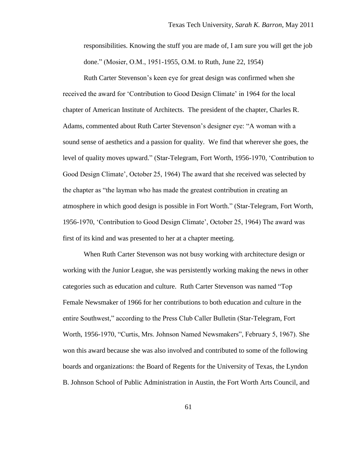responsibilities. Knowing the stuff you are made of, I am sure you will get the job done." (Mosier, O.M., 1951-1955, O.M. to Ruth, June 22, 1954)

Ruth Carter Stevenson"s keen eye for great design was confirmed when she received the award for "Contribution to Good Design Climate" in 1964 for the local chapter of American Institute of Architects. The president of the chapter, Charles R. Adams, commented about Ruth Carter Stevenson"s designer eye: "A woman with a sound sense of aesthetics and a passion for quality. We find that wherever she goes, the level of quality moves upward." (Star-Telegram, Fort Worth, 1956-1970, "Contribution to Good Design Climate", October 25, 1964) The award that she received was selected by the chapter as "the layman who has made the greatest contribution in creating an atmosphere in which good design is possible in Fort Worth." (Star-Telegram, Fort Worth, 1956-1970, "Contribution to Good Design Climate", October 25, 1964) The award was first of its kind and was presented to her at a chapter meeting.

When Ruth Carter Stevenson was not busy working with architecture design or working with the Junior League, she was persistently working making the news in other categories such as education and culture. Ruth Carter Stevenson was named "Top Female Newsmaker of 1966 for her contributions to both education and culture in the entire Southwest," according to the Press Club Caller Bulletin (Star-Telegram, Fort Worth, 1956-1970, "Curtis, Mrs. Johnson Named Newsmakers", February 5, 1967). She won this award because she was also involved and contributed to some of the following boards and organizations: the Board of Regents for the University of Texas, the Lyndon B. Johnson School of Public Administration in Austin, the Fort Worth Arts Council, and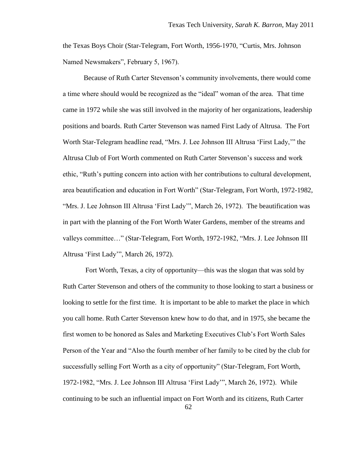the Texas Boys Choir (Star-Telegram, Fort Worth, 1956-1970, "Curtis, Mrs. Johnson Named Newsmakers", February 5, 1967).

Because of Ruth Carter Stevenson"s community involvements, there would come a time where should would be recognized as the "ideal" woman of the area. That time came in 1972 while she was still involved in the majority of her organizations, leadership positions and boards. Ruth Carter Stevenson was named First Lady of Altrusa. The Fort Worth Star-Telegram headline read, "Mrs. J. Lee Johnson III Altrusa "First Lady,"" the Altrusa Club of Fort Worth commented on Ruth Carter Stevenson"s success and work ethic, "Ruth"s putting concern into action with her contributions to cultural development, area beautification and education in Fort Worth" (Star-Telegram, Fort Worth, 1972-1982, "Mrs. J. Lee Johnson III Altrusa 'First Lady'", March 26, 1972). The beautification was in part with the planning of the Fort Worth Water Gardens, member of the streams and valleys committee…" (Star-Telegram, Fort Worth, 1972-1982, "Mrs. J. Lee Johnson III Altrusa "First Lady"", March 26, 1972).

Fort Worth, Texas, a city of opportunity—this was the slogan that was sold by Ruth Carter Stevenson and others of the community to those looking to start a business or looking to settle for the first time. It is important to be able to market the place in which you call home. Ruth Carter Stevenson knew how to do that, and in 1975, she became the first women to be honored as Sales and Marketing Executives Club"s Fort Worth Sales Person of the Year and "Also the fourth member of her family to be cited by the club for successfully selling Fort Worth as a city of opportunity" (Star-Telegram, Fort Worth, 1972-1982, "Mrs. J. Lee Johnson III Altrusa "First Lady"", March 26, 1972). While continuing to be such an influential impact on Fort Worth and its citizens, Ruth Carter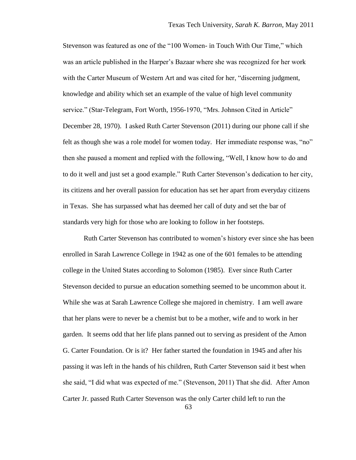Stevenson was featured as one of the "100 Women- in Touch With Our Time," which was an article published in the Harper"s Bazaar where she was recognized for her work with the Carter Museum of Western Art and was cited for her, "discerning judgment, knowledge and ability which set an example of the value of high level community service." (Star-Telegram, Fort Worth, 1956-1970, "Mrs. Johnson Cited in Article" December 28, 1970). I asked Ruth Carter Stevenson (2011) during our phone call if she felt as though she was a role model for women today. Her immediate response was, "no" then she paused a moment and replied with the following, "Well, I know how to do and to do it well and just set a good example." Ruth Carter Stevenson"s dedication to her city, its citizens and her overall passion for education has set her apart from everyday citizens in Texas. She has surpassed what has deemed her call of duty and set the bar of standards very high for those who are looking to follow in her footsteps.

Ruth Carter Stevenson has contributed to women"s history ever since she has been enrolled in Sarah Lawrence College in 1942 as one of the 601 females to be attending college in the United States according to Solomon (1985). Ever since Ruth Carter Stevenson decided to pursue an education something seemed to be uncommon about it. While she was at Sarah Lawrence College she majored in chemistry. I am well aware that her plans were to never be a chemist but to be a mother, wife and to work in her garden. It seems odd that her life plans panned out to serving as president of the Amon G. Carter Foundation. Or is it? Her father started the foundation in 1945 and after his passing it was left in the hands of his children, Ruth Carter Stevenson said it best when she said, "I did what was expected of me." (Stevenson, 2011) That she did. After Amon Carter Jr. passed Ruth Carter Stevenson was the only Carter child left to run the

63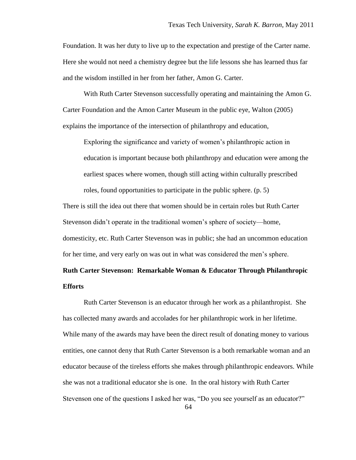Foundation. It was her duty to live up to the expectation and prestige of the Carter name. Here she would not need a chemistry degree but the life lessons she has learned thus far and the wisdom instilled in her from her father, Amon G. Carter.

With Ruth Carter Stevenson successfully operating and maintaining the Amon G. Carter Foundation and the Amon Carter Museum in the public eye, Walton (2005) explains the importance of the intersection of philanthropy and education,

Exploring the significance and variety of women"s philanthropic action in education is important because both philanthropy and education were among the earliest spaces where women, though still acting within culturally prescribed roles, found opportunities to participate in the public sphere. (p. 5)

There is still the idea out there that women should be in certain roles but Ruth Carter Stevenson didn"t operate in the traditional women"s sphere of society—home, domesticity, etc. Ruth Carter Stevenson was in public; she had an uncommon education

for her time, and very early on was out in what was considered the men"s sphere.

# **Ruth Carter Stevenson: Remarkable Woman & Educator Through Philanthropic Efforts**

Ruth Carter Stevenson is an educator through her work as a philanthropist. She has collected many awards and accolades for her philanthropic work in her lifetime. While many of the awards may have been the direct result of donating money to various entities, one cannot deny that Ruth Carter Stevenson is a both remarkable woman and an educator because of the tireless efforts she makes through philanthropic endeavors. While she was not a traditional educator she is one. In the oral history with Ruth Carter Stevenson one of the questions I asked her was, "Do you see yourself as an educator?"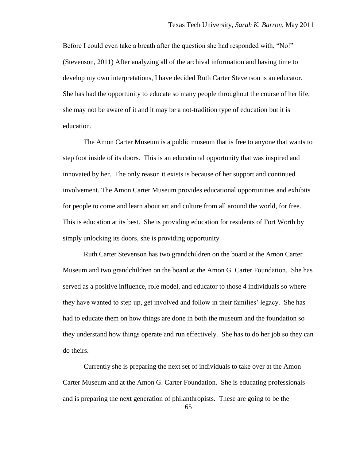Before I could even take a breath after the question she had responded with, "No!" (Stevenson, 2011) After analyzing all of the archival information and having time to develop my own interpretations, I have decided Ruth Carter Stevenson is an educator. She has had the opportunity to educate so many people throughout the course of her life, she may not be aware of it and it may be a not-tradition type of education but it is education.

The Amon Carter Museum is a public museum that is free to anyone that wants to step foot inside of its doors. This is an educational opportunity that was inspired and innovated by her. The only reason it exists is because of her support and continued involvement. The Amon Carter Museum provides educational opportunities and exhibits for people to come and learn about art and culture from all around the world, for free. This is education at its best. She is providing education for residents of Fort Worth by simply unlocking its doors, she is providing opportunity.

Ruth Carter Stevenson has two grandchildren on the board at the Amon Carter Museum and two grandchildren on the board at the Amon G. Carter Foundation. She has served as a positive influence, role model, and educator to those 4 individuals so where they have wanted to step up, get involved and follow in their families" legacy. She has had to educate them on how things are done in both the museum and the foundation so they understand how things operate and run effectively. She has to do her job so they can do theirs.

Currently she is preparing the next set of individuals to take over at the Amon Carter Museum and at the Amon G. Carter Foundation. She is educating professionals and is preparing the next generation of philanthropists. These are going to be the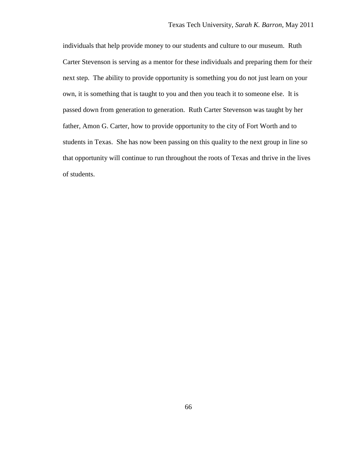individuals that help provide money to our students and culture to our museum. Ruth Carter Stevenson is serving as a mentor for these individuals and preparing them for their next step. The ability to provide opportunity is something you do not just learn on your own, it is something that is taught to you and then you teach it to someone else. It is passed down from generation to generation. Ruth Carter Stevenson was taught by her father, Amon G. Carter, how to provide opportunity to the city of Fort Worth and to students in Texas. She has now been passing on this quality to the next group in line so that opportunity will continue to run throughout the roots of Texas and thrive in the lives of students.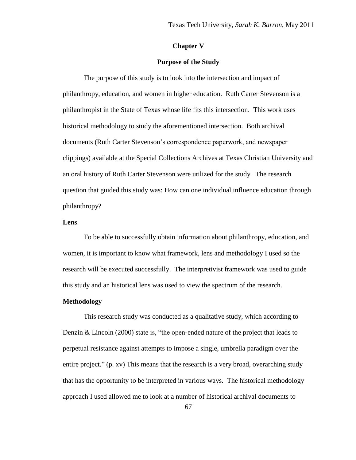#### **Chapter V**

#### **Purpose of the Study**

The purpose of this study is to look into the intersection and impact of philanthropy, education, and women in higher education. Ruth Carter Stevenson is a philanthropist in the State of Texas whose life fits this intersection. This work uses historical methodology to study the aforementioned intersection. Both archival documents (Ruth Carter Stevenson"s correspondence paperwork, and newspaper clippings) available at the Special Collections Archives at Texas Christian University and an oral history of Ruth Carter Stevenson were utilized for the study. The research question that guided this study was: How can one individual influence education through philanthropy?

#### **Lens**

To be able to successfully obtain information about philanthropy, education, and women, it is important to know what framework, lens and methodology I used so the research will be executed successfully. The interpretivist framework was used to guide this study and an historical lens was used to view the spectrum of the research.

## **Methodology**

This research study was conducted as a qualitative study, which according to Denzin & Lincoln (2000) state is, "the open-ended nature of the project that leads to perpetual resistance against attempts to impose a single, umbrella paradigm over the entire project." (p. xv) This means that the research is a very broad, overarching study that has the opportunity to be interpreted in various ways. The historical methodology approach I used allowed me to look at a number of historical archival documents to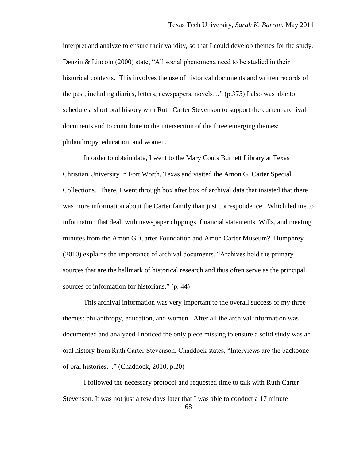interpret and analyze to ensure their validity, so that I could develop themes for the study. Denzin & Lincoln (2000) state, "All social phenomena need to be studied in their historical contexts. This involves the use of historical documents and written records of the past, including diaries, letters, newspapers, novels…" (p.375) I also was able to schedule a short oral history with Ruth Carter Stevenson to support the current archival documents and to contribute to the intersection of the three emerging themes: philanthropy, education, and women.

In order to obtain data, I went to the Mary Couts Burnett Library at Texas Christian University in Fort Worth, Texas and visited the Amon G. Carter Special Collections. There, I went through box after box of archival data that insisted that there was more information about the Carter family than just correspondence. Which led me to information that dealt with newspaper clippings, financial statements, Wills, and meeting minutes from the Amon G. Carter Foundation and Amon Carter Museum? Humphrey (2010) explains the importance of archival documents, "Archives hold the primary sources that are the hallmark of historical research and thus often serve as the principal sources of information for historians." (p. 44)

This archival information was very important to the overall success of my three themes: philanthropy, education, and women. After all the archival information was documented and analyzed I noticed the only piece missing to ensure a solid study was an oral history from Ruth Carter Stevenson, Chaddock states, "Interviews are the backbone of oral histories…" (Chaddock, 2010, p.20)

I followed the necessary protocol and requested time to talk with Ruth Carter Stevenson. It was not just a few days later that I was able to conduct a 17 minute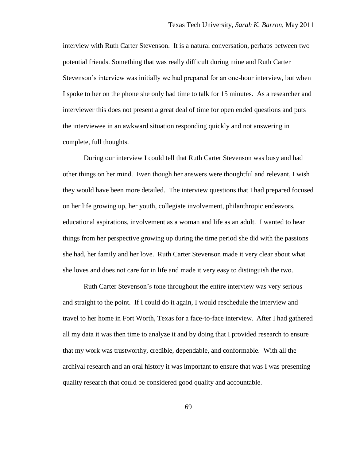interview with Ruth Carter Stevenson. It is a natural conversation, perhaps between two potential friends. Something that was really difficult during mine and Ruth Carter Stevenson"s interview was initially we had prepared for an one-hour interview, but when I spoke to her on the phone she only had time to talk for 15 minutes. As a researcher and interviewer this does not present a great deal of time for open ended questions and puts the interviewee in an awkward situation responding quickly and not answering in complete, full thoughts.

During our interview I could tell that Ruth Carter Stevenson was busy and had other things on her mind. Even though her answers were thoughtful and relevant, I wish they would have been more detailed. The interview questions that I had prepared focused on her life growing up, her youth, collegiate involvement, philanthropic endeavors, educational aspirations, involvement as a woman and life as an adult. I wanted to hear things from her perspective growing up during the time period she did with the passions she had, her family and her love. Ruth Carter Stevenson made it very clear about what she loves and does not care for in life and made it very easy to distinguish the two.

Ruth Carter Stevenson"s tone throughout the entire interview was very serious and straight to the point. If I could do it again, I would reschedule the interview and travel to her home in Fort Worth, Texas for a face-to-face interview. After I had gathered all my data it was then time to analyze it and by doing that I provided research to ensure that my work was trustworthy, credible, dependable, and conformable. With all the archival research and an oral history it was important to ensure that was I was presenting quality research that could be considered good quality and accountable.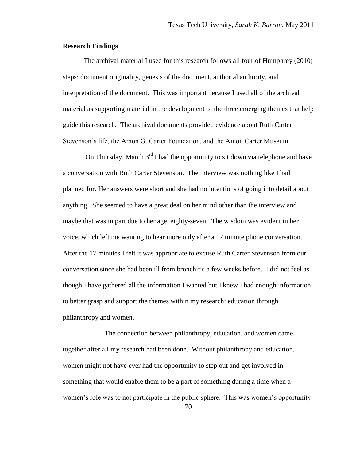### **Research Findings**

The archival material I used for this research follows all four of Humphrey (2010) steps: document originality, genesis of the document, authorial authority, and interpretation of the document. This was important because I used all of the archival material as supporting material in the development of the three emerging themes that help guide this research. The archival documents provided evidence about Ruth Carter Stevenson"s life, the Amon G. Carter Foundation, and the Amon Carter Museum.

On Thursday, March  $3<sup>rd</sup>$  I had the opportunity to sit down via telephone and have a conversation with Ruth Carter Stevenson. The interview was nothing like I had planned for. Her answers were short and she had no intentions of going into detail about anything. She seemed to have a great deal on her mind other than the interview and maybe that was in part due to her age, eighty-seven. The wisdom was evident in her voice, which left me wanting to hear more only after a 17 minute phone conversation. After the 17 minutes I felt it was appropriate to excuse Ruth Carter Stevenson from our conversation since she had been ill from bronchitis a few weeks before. I did not feel as though I have gathered all the information I wanted but I knew I had enough information to better grasp and support the themes within my research: education through philanthropy and women.

The connection between philanthropy, education, and women came together after all my research had been done. Without philanthropy and education, women might not have ever had the opportunity to step out and get involved in something that would enable them to be a part of something during a time when a women's role was to not participate in the public sphere. This was women's opportunity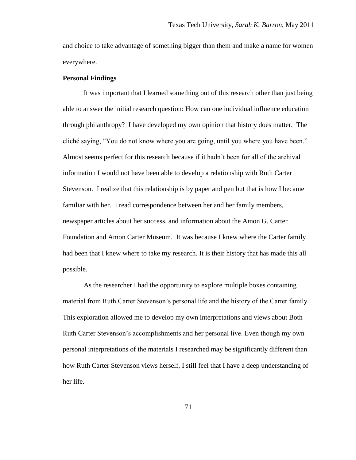and choice to take advantage of something bigger than them and make a name for women everywhere.

#### **Personal Findings**

It was important that I learned something out of this research other than just being able to answer the initial research question: How can one individual influence education through philanthropy? I have developed my own opinion that history does matter. The cliché saying, "You do not know where you are going, until you where you have been." Almost seems perfect for this research because if it hadn"t been for all of the archival information I would not have been able to develop a relationship with Ruth Carter Stevenson. I realize that this relationship is by paper and pen but that is how I became familiar with her. I read correspondence between her and her family members, newspaper articles about her success, and information about the Amon G. Carter Foundation and Amon Carter Museum. It was because I knew where the Carter family had been that I knew where to take my research. It is their history that has made this all possible.

As the researcher I had the opportunity to explore multiple boxes containing material from Ruth Carter Stevenson"s personal life and the history of the Carter family. This exploration allowed me to develop my own interpretations and views about Both Ruth Carter Stevenson"s accomplishments and her personal live. Even though my own personal interpretations of the materials I researched may be significantly different than how Ruth Carter Stevenson views herself, I still feel that I have a deep understanding of her life.

71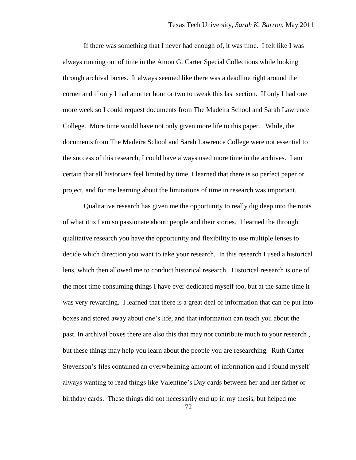If there was something that I never had enough of, it was time. I felt like I was always running out of time in the Amon G. Carter Special Collections while looking through archival boxes. It always seemed like there was a deadline right around the corner and if only I had another hour or two to tweak this last section. If only I had one more week so I could request documents from The Madeira School and Sarah Lawrence College. More time would have not only given more life to this paper. While, the documents from The Madeira School and Sarah Lawrence College were not essential to the success of this research, I could have always used more time in the archives. I am certain that all historians feel limited by time, I learned that there is so perfect paper or project, and for me learning about the limitations of time in research was important.

Qualitative research has given me the opportunity to really dig deep into the roots of what it is I am so passionate about: people and their stories. I learned the through qualitative research you have the opportunity and flexibility to use multiple lenses to decide which direction you want to take your research. In this research I used a historical lens, which then allowed me to conduct historical research. Historical research is one of the most time consuming things I have ever dedicated myself too, but at the same time it was very rewarding. I learned that there is a great deal of information that can be put into boxes and stored away about one"s life, and that information can teach you about the past. In archival boxes there are also this that may not contribute much to your research , but these things may help you learn about the people you are researching. Ruth Carter Stevenson"s files contained an overwhelming amount of information and I found myself always wanting to read things like Valentine"s Day cards between her and her father or birthday cards. These things did not necessarily end up in my thesis, but helped me

72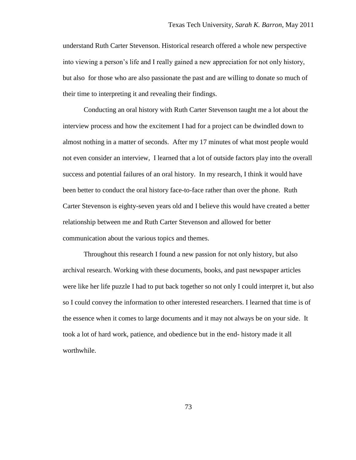understand Ruth Carter Stevenson. Historical research offered a whole new perspective into viewing a person"s life and I really gained a new appreciation for not only history, but also for those who are also passionate the past and are willing to donate so much of their time to interpreting it and revealing their findings.

Conducting an oral history with Ruth Carter Stevenson taught me a lot about the interview process and how the excitement I had for a project can be dwindled down to almost nothing in a matter of seconds. After my 17 minutes of what most people would not even consider an interview, I learned that a lot of outside factors play into the overall success and potential failures of an oral history. In my research, I think it would have been better to conduct the oral history face-to-face rather than over the phone. Ruth Carter Stevenson is eighty-seven years old and I believe this would have created a better relationship between me and Ruth Carter Stevenson and allowed for better communication about the various topics and themes.

Throughout this research I found a new passion for not only history, but also archival research. Working with these documents, books, and past newspaper articles were like her life puzzle I had to put back together so not only I could interpret it, but also so I could convey the information to other interested researchers. I learned that time is of the essence when it comes to large documents and it may not always be on your side. It took a lot of hard work, patience, and obedience but in the end- history made it all worthwhile.

73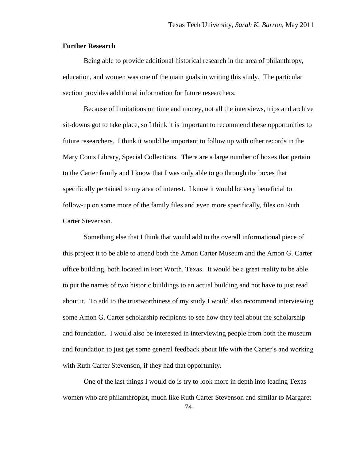### **Further Research**

Being able to provide additional historical research in the area of philanthropy, education, and women was one of the main goals in writing this study. The particular section provides additional information for future researchers.

Because of limitations on time and money, not all the interviews, trips and archive sit-downs got to take place, so I think it is important to recommend these opportunities to future researchers. I think it would be important to follow up with other records in the Mary Couts Library, Special Collections. There are a large number of boxes that pertain to the Carter family and I know that I was only able to go through the boxes that specifically pertained to my area of interest. I know it would be very beneficial to follow-up on some more of the family files and even more specifically, files on Ruth Carter Stevenson.

Something else that I think that would add to the overall informational piece of this project it to be able to attend both the Amon Carter Museum and the Amon G. Carter office building, both located in Fort Worth, Texas. It would be a great reality to be able to put the names of two historic buildings to an actual building and not have to just read about it. To add to the trustworthiness of my study I would also recommend interviewing some Amon G. Carter scholarship recipients to see how they feel about the scholarship and foundation. I would also be interested in interviewing people from both the museum and foundation to just get some general feedback about life with the Carter's and working with Ruth Carter Stevenson, if they had that opportunity.

One of the last things I would do is try to look more in depth into leading Texas women who are philanthropist, much like Ruth Carter Stevenson and similar to Margaret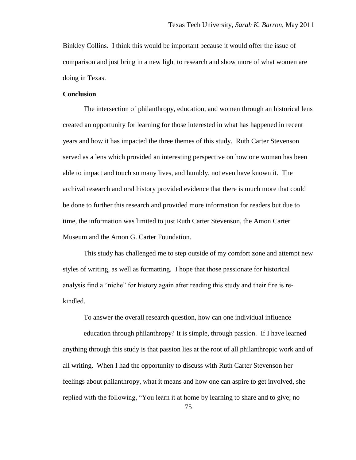Binkley Collins. I think this would be important because it would offer the issue of comparison and just bring in a new light to research and show more of what women are doing in Texas.

#### **Conclusion**

The intersection of philanthropy, education, and women through an historical lens created an opportunity for learning for those interested in what has happened in recent years and how it has impacted the three themes of this study. Ruth Carter Stevenson served as a lens which provided an interesting perspective on how one woman has been able to impact and touch so many lives, and humbly, not even have known it. The archival research and oral history provided evidence that there is much more that could be done to further this research and provided more information for readers but due to time, the information was limited to just Ruth Carter Stevenson, the Amon Carter Museum and the Amon G. Carter Foundation.

This study has challenged me to step outside of my comfort zone and attempt new styles of writing, as well as formatting. I hope that those passionate for historical analysis find a "niche" for history again after reading this study and their fire is rekindled.

To answer the overall research question, how can one individual influence

education through philanthropy? It is simple, through passion. If I have learned anything through this study is that passion lies at the root of all philanthropic work and of all writing. When I had the opportunity to discuss with Ruth Carter Stevenson her feelings about philanthropy, what it means and how one can aspire to get involved, she replied with the following, "You learn it at home by learning to share and to give; no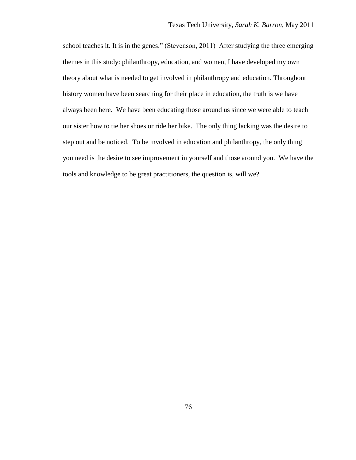school teaches it. It is in the genes." (Stevenson, 2011) After studying the three emerging themes in this study: philanthropy, education, and women, I have developed my own theory about what is needed to get involved in philanthropy and education. Throughout history women have been searching for their place in education, the truth is we have always been here. We have been educating those around us since we were able to teach our sister how to tie her shoes or ride her bike. The only thing lacking was the desire to step out and be noticed. To be involved in education and philanthropy, the only thing you need is the desire to see improvement in yourself and those around you. We have the tools and knowledge to be great practitioners, the question is, will we?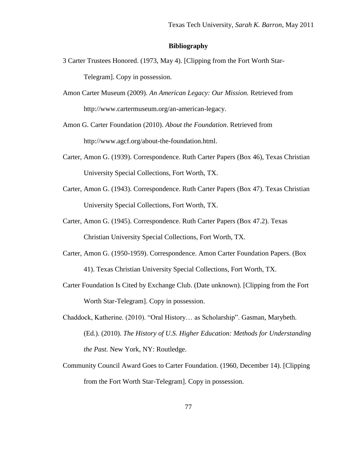## **Bibliography**

- 3 Carter Trustees Honored. (1973, May 4). [Clipping from the Fort Worth Star-Telegram]. Copy in possession.
- Amon Carter Museum (2009). *An American Legacy: Our Mission.* Retrieved from http://www.cartermuseum.org/an-american-legacy.

Amon G. Carter Foundation (2010). *About the Foundation*. Retrieved from http://www.agcf.org/about-the-foundation.html.

- Carter, Amon G. (1939). Correspondence. Ruth Carter Papers (Box 46), Texas Christian University Special Collections, Fort Worth, TX.
- Carter, Amon G. (1943). Correspondence. Ruth Carter Papers (Box 47). Texas Christian University Special Collections, Fort Worth, TX.
- Carter, Amon G. (1945). Correspondence. Ruth Carter Papers (Box 47.2). Texas Christian University Special Collections, Fort Worth, TX.
- Carter, Amon G. (1950-1959). Correspondence. Amon Carter Foundation Papers. (Box 41). Texas Christian University Special Collections, Fort Worth, TX.
- Carter Foundation Is Cited by Exchange Club. (Date unknown). [Clipping from the Fort Worth Star-Telegram]. Copy in possession.
- Chaddock, Katherine. (2010). "Oral History… as Scholarship". Gasman, Marybeth. (Ed.). (2010). *The History of U.S. Higher Education: Methods for Understanding the Past.* New York, NY: Routledge.
- Community Council Award Goes to Carter Foundation. (1960, December 14). [Clipping from the Fort Worth Star-Telegram]. Copy in possession.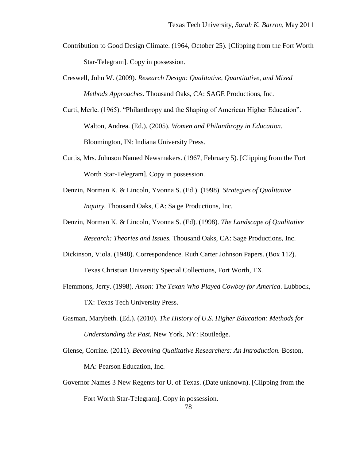- Contribution to Good Design Climate. (1964, October 25). [Clipping from the Fort Worth Star-Telegram]. Copy in possession.
- Creswell, John W. (2009). *Research Design: Qualitative, Quantitative, and Mixed Methods Approaches*. Thousand Oaks, CA: SAGE Productions, Inc.
- Curti, Merle. (1965). "Philanthropy and the Shaping of American Higher Education". Walton, Andrea. (Ed.). (2005). *Women and Philanthropy in Education*. Bloomington, IN: Indiana University Press.
- Curtis, Mrs. Johnson Named Newsmakers. (1967, February 5). [Clipping from the Fort Worth Star-Telegram]. Copy in possession.
- Denzin, Norman K. & Lincoln, Yvonna S. (Ed.). (1998). *Strategies of Qualitative Inquiry.* Thousand Oaks, CA: Sa ge Productions, Inc.
- Denzin, Norman K. & Lincoln, Yvonna S. (Ed). (1998). *The Landscape of Qualitative Research: Theories and Issues.* Thousand Oaks, CA: Sage Productions, Inc.
- Dickinson, Viola. (1948). Correspondence. Ruth Carter Johnson Papers. (Box 112). Texas Christian University Special Collections, Fort Worth, TX.
- Flemmons, Jerry. (1998). *Amon: The Texan Who Played Cowboy for America*. Lubbock, TX: Texas Tech University Press.
- Gasman, Marybeth. (Ed.). (2010). *The History of U.S. Higher Education: Methods for Understanding the Past.* New York, NY: Routledge.
- Glense, Corrine. (2011). *Becoming Qualitative Researchers: An Introduction.* Boston, MA: Pearson Education, Inc.
- Governor Names 3 New Regents for U. of Texas. (Date unknown). [Clipping from the Fort Worth Star-Telegram]. Copy in possession.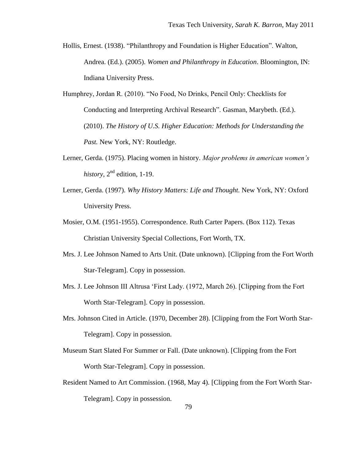- Hollis, Ernest. (1938). "Philanthropy and Foundation is Higher Education". Walton, Andrea. (Ed.). (2005). *Women and Philanthropy in Education*. Bloomington, IN: Indiana University Press.
- Humphrey, Jordan R. (2010). "No Food, No Drinks, Pencil Only: Checklists for Conducting and Interpreting Archival Research". Gasman, Marybeth. (Ed.). (2010). *The History of U.S. Higher Education: Methods for Understanding the Past.* New York, NY: Routledge.
- Lerner, Gerda. (1975). Placing women in history. *Major problems in american women's*   $history, 2<sup>nd</sup> edition, 1-19.$
- Lerner, Gerda. (1997). *Why History Matters: Life and Thought.* New York, NY: Oxford University Press.
- Mosier, O.M. (1951-1955). Correspondence. Ruth Carter Papers. (Box 112). Texas Christian University Special Collections, Fort Worth, TX.
- Mrs. J. Lee Johnson Named to Arts Unit. (Date unknown). [Clipping from the Fort Worth Star-Telegram]. Copy in possession.
- Mrs. J. Lee Johnson III Altrusa "First Lady. (1972, March 26). [Clipping from the Fort Worth Star-Telegram]. Copy in possession.
- Mrs. Johnson Cited in Article. (1970, December 28). [Clipping from the Fort Worth Star-Telegram]. Copy in possession.
- Museum Start Slated For Summer or Fall. (Date unknown). [Clipping from the Fort Worth Star-Telegram]. Copy in possession.
- Resident Named to Art Commission. (1968, May 4). [Clipping from the Fort Worth Star-Telegram]. Copy in possession.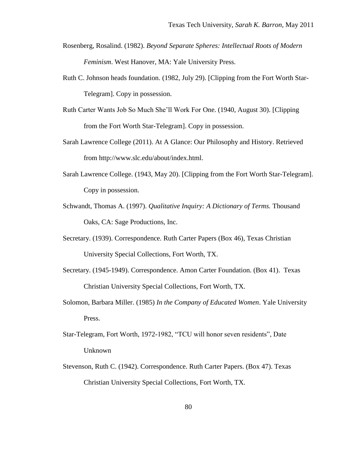- Rosenberg, Rosalind. (1982). *Beyond Separate Spheres: Intellectual Roots of Modern Feminism*. West Hanover, MA: Yale University Press.
- Ruth C. Johnson heads foundation. (1982, July 29). [Clipping from the Fort Worth Star-Telegram]. Copy in possession.
- Ruth Carter Wants Job So Much She"ll Work For One. (1940, August 30). [Clipping from the Fort Worth Star-Telegram]. Copy in possession.
- Sarah Lawrence College (2011). At A Glance: Our Philosophy and History. Retrieved from http://www.slc.edu/about/index.html.
- Sarah Lawrence College. (1943, May 20). [Clipping from the Fort Worth Star-Telegram]. Copy in possession.
- Schwandt, Thomas A. (1997). *Qualitative Inquiry: A Dictionary of Terms.* Thousand Oaks, CA: Sage Productions, Inc.
- Secretary. (1939). Correspondence. Ruth Carter Papers (Box 46), Texas Christian University Special Collections, Fort Worth, TX.
- Secretary. (1945-1949). Correspondence. Amon Carter Foundation. (Box 41). Texas Christian University Special Collections, Fort Worth, TX.
- Solomon, Barbara Miller. (1985) *In the Company of Educated Women*. Yale University Press.
- Star-Telegram, Fort Worth, 1972-1982, "TCU will honor seven residents", Date Unknown
- Stevenson, Ruth C. (1942). Correspondence. Ruth Carter Papers. (Box 47). Texas Christian University Special Collections, Fort Worth, TX.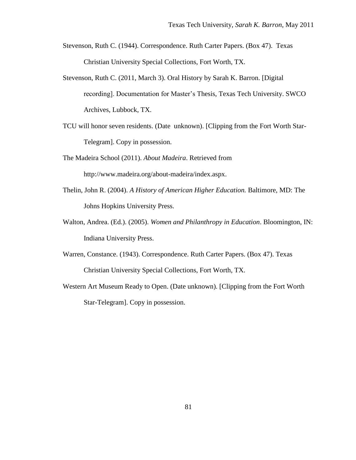- Stevenson, Ruth C. (1944). Correspondence. Ruth Carter Papers. (Box 47). Texas Christian University Special Collections, Fort Worth, TX.
- Stevenson, Ruth C. (2011, March 3). Oral History by Sarah K. Barron. [Digital recording]. Documentation for Master"s Thesis, Texas Tech University. SWCO Archives, Lubbock, TX.
- TCU will honor seven residents. (Date unknown). [Clipping from the Fort Worth Star-Telegram]. Copy in possession.
- The Madeira School (2011). *About Madeira*. Retrieved from http://www.madeira.org/about-madeira/index.aspx.
- Thelin, John R. (2004). *A History of American Higher Education.* Baltimore, MD: The Johns Hopkins University Press.
- Walton, Andrea. (Ed.). (2005). *Women and Philanthropy in Education*. Bloomington, IN: Indiana University Press.
- Warren, Constance. (1943). Correspondence. Ruth Carter Papers. (Box 47). Texas Christian University Special Collections, Fort Worth, TX.
- Western Art Museum Ready to Open. (Date unknown). [Clipping from the Fort Worth Star-Telegram]. Copy in possession.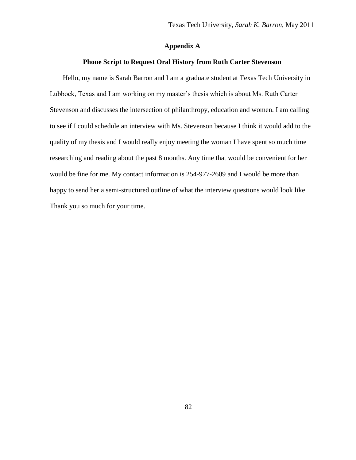## **Appendix A**

## **Phone Script to Request Oral History from Ruth Carter Stevenson**

Hello, my name is Sarah Barron and I am a graduate student at Texas Tech University in Lubbock, Texas and I am working on my master's thesis which is about Ms. Ruth Carter Stevenson and discusses the intersection of philanthropy, education and women. I am calling to see if I could schedule an interview with Ms. Stevenson because I think it would add to the quality of my thesis and I would really enjoy meeting the woman I have spent so much time researching and reading about the past 8 months. Any time that would be convenient for her would be fine for me. My contact information is 254-977-2609 and I would be more than happy to send her a semi-structured outline of what the interview questions would look like. Thank you so much for your time.